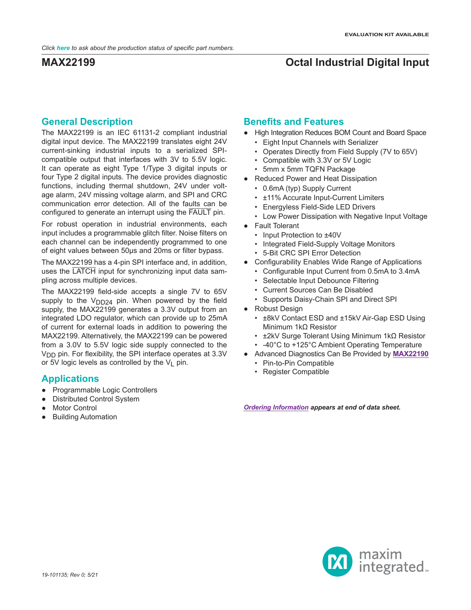# **MAX22199 Octal Industrial Digital Input**

# **General Description**

The MAX22199 is an IEC 61131-2 compliant industrial digital input device. The MAX22199 translates eight 24V current-sinking industrial inputs to a serialized SPIcompatible output that interfaces with 3V to 5.5V logic. It can operate as eight Type 1/Type 3 digital inputs or four Type 2 digital inputs. The device provides diagnostic functions, including thermal shutdown, 24V under voltage alarm, 24V missing voltage alarm, and SPI and CRC communication error detection. All of the faults can be configured to generate an interrupt using the FAULT pin.

For robust operation in industrial environments, each input includes a programmable glitch filter. Noise filters on each channel can be independently programmed to one of eight values between 50µs and 20ms or filter bypass.

The MAX22199 has a 4-pin SPI interface and, in addition, uses the LATCH input for synchronizing input data sampling across multiple devices.

The MAX22199 field-side accepts a single 7V to 65V supply to the  $V_{DD24}$  pin. When powered by the field supply, the MAX22199 generates a 3.3V output from an integrated LDO regulator, which can provide up to 25mA of current for external loads in addition to powering the MAX22199. Alternatively, the MAX22199 can be powered from a 3.0V to 5.5V logic side supply connected to the  $V<sub>DD</sub>$  pin. For flexibility, the SPI interface operates at 3.3V or 5V logic levels as controlled by the  $V_1$  pin.

# **Applications**

- **Programmable Logic Controllers**
- Distributed Control System
- **Motor Control**
- **Building Automation**

# **Benefits and Features**

- High Integration Reduces BOM Count and Board Space
	- Eight Input Channels with Serializer
	- Operates Directly from Field Supply (7V to 65V)
	- Compatible with 3.3V or 5V Logic
	- 5mm x 5mm TQFN Package
- Reduced Power and Heat Dissipation
	- 0.6mA (typ) Supply Current
	- ±11% Accurate Input-Current Limiters
	- Energyless Field-Side LED Drivers
	- Low Power Dissipation with Negative Input Voltage
- Fault Tolerant
	- Input Protection to ±40V
	- Integrated Field-Supply Voltage Monitors
	- 5-Bit CRC SPI Error Detection
- Configurability Enables Wide Range of Applications
	- Configurable Input Current from 0.5mA to 3.4mA
	- Selectable Input Debounce Filtering
	- Current Sources Can Be Disabled
	- Supports Daisy-Chain SPI and Direct SPI
- Robust Design
	- ±8kV Contact ESD and ±15kV Air-Gap ESD Using Minimum 1kΩ Resistor
	- ±2kV Surge Tolerant Using Minimum 1kΩ Resistor
	- -40°C to +125°C Ambient Operating Temperature
- Advanced Diagnostics Can Be Provided by **[MAX22190](https://www.maximintegrated.com/en/products/interface/sensor-interface/MAX22190.html)**
	- Pin-to-Pin Compatible
	- Register Compatible

*[Ordering Information](#page-35-0) appears at end of data sheet.*

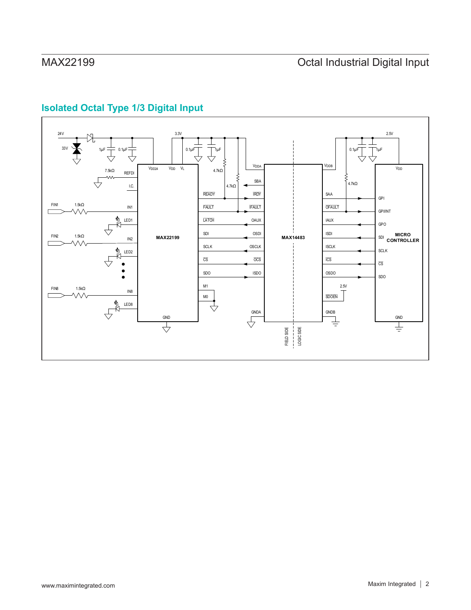

# **Isolated Octal Type 1/3 Digital Input**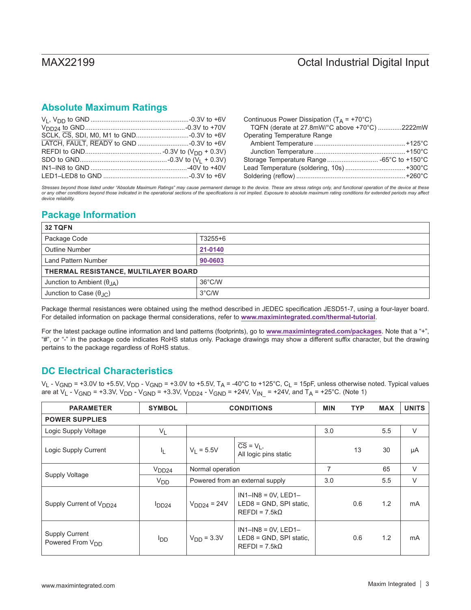# <span id="page-2-1"></span>**Absolute Maximum Ratings**

| Continuous Power Dissipation ( $T_A$ = +70°C) |  |
|-----------------------------------------------|--|
| TQFN (derate at 27.8mW/°C above +70°C) 2222mW |  |
| Operating Temperature Range                   |  |
|                                               |  |
|                                               |  |
|                                               |  |
| Lead Temperature (soldering, 10s)  +300°C     |  |
|                                               |  |
|                                               |  |

*Stresses beyond those listed under "Absolute Maximum Ratings" may cause permanent damage to the device. These are stress ratings only, and functional operation of the device at these or any other conditions beyond those indicated in the operational sections of the specifications is not implied. Exposure to absolute maximum rating conditions for extended periods may affect device reliability.*

# <span id="page-2-0"></span>**Package Information**

| <b>32 TQFN</b>                          |                  |  |  |  |  |
|-----------------------------------------|------------------|--|--|--|--|
| Package Code                            | $T3255+6$        |  |  |  |  |
| <b>Outline Number</b>                   | 21-0140          |  |  |  |  |
| Land Pattern Number                     | 90-0603          |  |  |  |  |
| THERMAL RESISTANCE, MULTILAYER BOARD    |                  |  |  |  |  |
| Junction to Ambient $(\theta_{JA})$     | $36^{\circ}$ C/W |  |  |  |  |
| Junction to Case $(\theta_{\text{JC}})$ | $3^{\circ}$ C/W  |  |  |  |  |

Package thermal resistances were obtained using the method described in JEDEC specification JESD51-7, using a four-layer board. For detailed information on package thermal considerations, refer to **[www.maximintegrated.com/thermal-tutorial](http://www.maximintegrated.com/thermal-tutorial)**.

For the latest package outline information and land patterns (footprints), go to **[www.maximintegrated.com/packages](http://www.maximintegrated.com/packages)**. Note that a "+", "#", or "-" in the package code indicates RoHS status only. Package drawings may show a different suffix character, but the drawing pertains to the package regardless of RoHS status.

# **DC Electrical Characteristics**

V<sub>L</sub> - V<sub>GND</sub> = +3.0V to +5.5V, V<sub>DD</sub> - V<sub>GND</sub> = +3.0V to +5.5V, T<sub>A</sub> = -40°C to +125°C, C<sub>L</sub> = 15pF, unless otherwise noted. Typical values are at  $V_L$  -  $V_{GND}$  = +3.3V,  $V_{DD}$  -  $V_{GND}$  = +3.3V,  $V_{DD24}$  -  $V_{GND}$  = +24V,  $V_{IN}$  = +24V, and T<sub>A</sub> = +25°C. (Note 1)

| <b>PARAMETER</b>                                      | <b>SYMBOL</b>     | <b>CONDITIONS</b>               |                                                                             | <b>MIN</b>     | <b>TYP</b> | <b>MAX</b> | <b>UNITS</b> |  |
|-------------------------------------------------------|-------------------|---------------------------------|-----------------------------------------------------------------------------|----------------|------------|------------|--------------|--|
| <b>POWER SUPPLIES</b>                                 |                   |                                 |                                                                             |                |            |            |              |  |
| Logic Supply Voltage                                  | $V_L$             |                                 |                                                                             | 3.0            |            | 5.5        | $\vee$       |  |
| Logic Supply Current                                  | ı,                | $V_1 = 5.5V$                    | $\overline{\text{CS}}$ = V <sub>L</sub> ,<br>All logic pins static          |                | 13         | 30         | μA           |  |
| <b>Supply Voltage</b>                                 | V <sub>DD24</sub> | Normal operation                |                                                                             | $\overline{7}$ |            | 65         | $\vee$       |  |
|                                                       | V <sub>DD</sub>   | Powered from an external supply |                                                                             | 3.0            |            | 5.5        | $\vee$       |  |
| Supply Current of V <sub>DD24</sub>                   | $I_{DD24}$        | $V_{DD24} = 24V$                | $IN1 - IN8 = 0V$ , LED1-<br>LED8 = GND, SPI static,<br>$REFDI = 7.5kΩ$      |                | 0.6        | 1.2        | mA           |  |
| <b>Supply Current</b><br>Powered From V <sub>DD</sub> | l <sub>DD</sub>   | $V_{DD} = 3.3V$                 | $IN1 - IN8 = 0V$ , LED1-<br>LED8 = GND, SPI static,<br>$REFDI = 7.5k\Omega$ |                | 0.6        | 1.2        | mA           |  |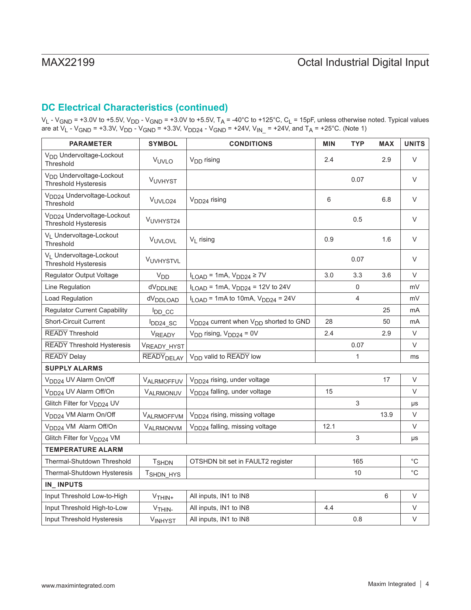# **DC Electrical Characteristics (continued)**

V<sub>L</sub> - V<sub>GND</sub> = +3.0V to +5.5V, V<sub>DD</sub> - V<sub>GND</sub> = +3.0V to +5.5V, T<sub>A</sub> = -40°C to +125°C, C<sub>L</sub> = 15pF, unless otherwise noted. Typical values are at V<sub>L</sub> - V<sub>GND</sub> = +3.3V, V<sub>DD</sub> - V<sub>GND</sub> = +3.3V, V<sub>DD24</sub> - V<sub>GND</sub> = +24V, V<sub>IN\_</sub> = +24V, and T<sub>A</sub> = +25°C. (Note 1)

| <b>PARAMETER</b>                                                      | <b>SYMBOL</b>         | <b>CONDITIONS</b>                                             | <b>MIN</b> | <b>TYP</b>     | <b>MAX</b> | <b>UNITS</b> |
|-----------------------------------------------------------------------|-----------------------|---------------------------------------------------------------|------------|----------------|------------|--------------|
| V <sub>DD</sub> Undervoltage-Lockout<br>Threshold                     | VUVLO                 | $V_{DD}$ rising                                               | 2.4        |                | 2.9        | $\vee$       |
| V <sub>DD</sub> Undervoltage-Lockout<br>Threshold Hysteresis          | VUVHYST               |                                                               |            | 0.07           |            | V            |
| V <sub>DD24</sub> Undervoltage-Lockout<br>Threshold                   | VUVLO24               | V <sub>DD24</sub> rising                                      | 6          |                | 6.8        | $\vee$       |
| V <sub>DD24</sub> Undervoltage-Lockout<br><b>Threshold Hysteresis</b> | VUVHYST24             |                                                               |            | 0.5            |            | $\vee$       |
| VL Undervoltage-Lockout<br>Threshold                                  | <b>VUVLOVL</b>        | $V_I$ rising                                                  | 0.9        |                | 1.6        | V            |
| V <sub>I</sub> Undervoltage-Lockout<br><b>Threshold Hysteresis</b>    | VUVHYSTVL             |                                                               |            | 0.07           |            | $\vee$       |
| Regulator Output Voltage                                              | V <sub>DD</sub>       | $I_{LOAD}$ = 1mA, $V_{DD24} \ge 7V$                           | 3.0        | 3.3            | 3.6        | $\vee$       |
| Line Regulation                                                       | dV <sub>DDLINE</sub>  | $I_{LOAD}$ = 1mA, $V_{DD24}$ = 12V to 24V                     |            | $\mathsf 0$    |            | mV           |
| Load Regulation                                                       | dV <sub>DDLOAD</sub>  | $I_{\text{LOAD}}$ = 1mA to 10mA, $V_{\text{DD24}}$ = 24V      |            | $\overline{4}$ |            | mV           |
| <b>Regulator Current Capability</b>                                   | $I_{DD}$ CC           |                                                               |            |                | 25         | mA           |
| <b>Short-Circuit Current</b>                                          | $I_{DD24}$ SC         | V <sub>DD24</sub> current when V <sub>DD</sub> shorted to GND | 28         |                | 50         | mA           |
| <b>READY</b> Threshold                                                | VREADY                | $V_{DD}$ rising, $V_{DD24} = 0V$                              | 2.4        |                | 2.9        | V            |
| <b>READY</b> Threshold Hysteresis                                     | VREADY HYST           |                                                               |            | 0.07           |            | $\vee$       |
| <b>READY</b> Delay                                                    | <b>READY</b> DELAY    | V <sub>DD</sub> valid to READY low                            |            | 1              |            | ms           |
| <b>SUPPLY ALARMS</b>                                                  |                       |                                                               |            |                |            |              |
| V <sub>DD24</sub> UV Alarm On/Off                                     | VALRMOFFUV            | V <sub>DD24</sub> rising, under voltage                       |            |                | 17         | $\vee$       |
| V <sub>DD24</sub> UV Alarm Off/On                                     | VALRMONUV             | V <sub>DD24</sub> falling, under voltage                      | 15         |                |            | V            |
| Glitch Filter for V <sub>DD24</sub> UV                                |                       |                                                               |            | 3              |            | μs           |
| V <sub>DD24</sub> VM Alarm On/Off                                     | VALRMOFFVM            | V <sub>DD24</sub> rising, missing voltage                     |            |                | 13.9       | V            |
| V <sub>DD24</sub> VM Alarm Off/On                                     | VALRMONVM             | V <sub>DD24</sub> falling, missing voltage                    | 12.1       |                |            | $\vee$       |
| Glitch Filter for V <sub>DD24</sub> VM                                |                       |                                                               |            | 3              |            | μs           |
| <b>TEMPERATURE ALARM</b>                                              |                       |                                                               |            |                |            |              |
| Thermal-Shutdown Threshold                                            | <b>T</b> SHDN         | OTSHDN bit set in FAULT2 register                             |            | 165            |            | $^{\circ}C$  |
| Thermal-Shutdown Hysteresis                                           | T <sub>SHDN_HYS</sub> |                                                               |            | 10             |            | $^{\circ}C$  |
| IN_INPUTS                                                             |                       |                                                               |            |                |            |              |
| Input Threshold Low-to-High                                           | $V$ THIN+             | All inputs, IN1 to IN8                                        |            |                | 6          | V            |
| Input Threshold High-to-Low                                           | $V$ THIN-             | All inputs, IN1 to IN8                                        | 4.4        |                |            | V            |
| Input Threshold Hysteresis                                            | VINHYST               | All inputs, IN1 to IN8                                        |            | 0.8            |            | $\vee$       |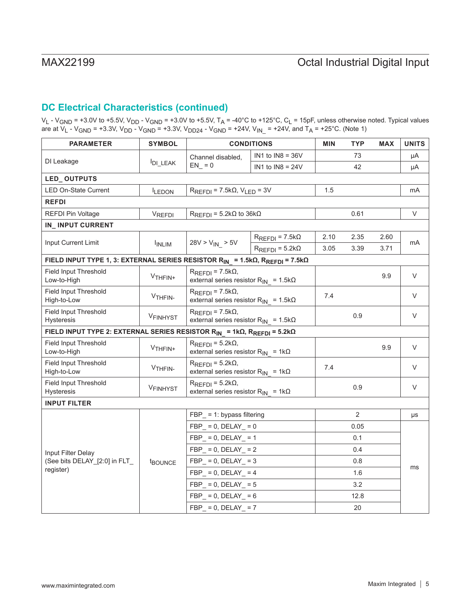# **DC Electrical Characteristics (continued)**

V<sub>L</sub> - V<sub>GND</sub> = +3.0V to +5.5V, V<sub>DD</sub> - V<sub>GND</sub> = +3.0V to +5.5V, T<sub>A</sub> = -40°C to +125°C, C<sub>L</sub> = 15pF, unless otherwise noted. Typical values are at V<sub>L</sub> - V<sub>GND</sub> = +3.3V, V<sub>DD</sub> - V<sub>GND</sub> = +3.3V, V<sub>DD24</sub> - V<sub>GND</sub> = +24V, V<sub>IN\_</sub> = +24V, and T<sub>A</sub> = +25°C. (Note 1)

| <b>PARAMETER</b>                                                                                                      | <b>SYMBOL</b>       | <b>CONDITIONS</b>                                                               |                             | <b>MIN</b> | <b>TYP</b> | <b>MAX</b> | <b>UNITS</b> |  |
|-----------------------------------------------------------------------------------------------------------------------|---------------------|---------------------------------------------------------------------------------|-----------------------------|------------|------------|------------|--------------|--|
|                                                                                                                       |                     | Channel disabled,                                                               | IN1 to $IN8 = 36V$          |            | 73         |            | μA           |  |
| DI Leakage                                                                                                            | DI LEAK             | $EN = 0$                                                                        | IN1 to $IN8 = 24V$          |            | 42         |            | μA           |  |
| LED_OUTPUTS                                                                                                           |                     |                                                                                 |                             |            |            |            |              |  |
| <b>LED On-State Current</b>                                                                                           | <b>ILEDON</b>       | $R_{REFDI}$ = 7.5k $\Omega$ , $V_{LED}$ = 3V                                    |                             | 1.5        |            |            | mA           |  |
| <b>REFDI</b>                                                                                                          |                     |                                                                                 |                             |            |            |            |              |  |
| <b>REFDI Pin Voltage</b>                                                                                              | VREFDI              | $R_{\text{REFDI}} = 5.2 \text{k}\Omega$ to 36k $\Omega$                         |                             |            | 0.61       |            | V            |  |
| IN_INPUT CURRENT                                                                                                      |                     |                                                                                 |                             |            |            |            |              |  |
|                                                                                                                       |                     |                                                                                 | $R_{REFDI}$ = 7.5k $\Omega$ | 2.10       | 2.35       | 2.60       |              |  |
| Input Current Limit                                                                                                   | <b>INLIM</b>        | $28V > V_{IN} > 5V$                                                             | $R_{REFDI}$ = 5.2k $\Omega$ | 3.05       | 3.39       | 3.71       | mA           |  |
| FIELD INPUT TYPE 1, 3: EXTERNAL SERIES RESISTOR R <sub>IN_</sub> = 1.5k $\Omega$ , R <sub>REFDI</sub> = 7.5k $\Omega$ |                     |                                                                                 |                             |            |            |            |              |  |
| <b>Field Input Threshold</b><br>Low-to-High                                                                           | V <sub>THFIN+</sub> | $R_{REFDI}$ = 7.5k $\Omega$ ,<br>external series resistor $R_{IN} = 1.5k\Omega$ |                             |            |            | 9.9        | $\vee$       |  |
| Field Input Threshold<br>High-to-Low                                                                                  | V <sub>THFIN-</sub> | $R_{REFDI}$ = 7.5k $\Omega$ ,<br>external series resistor $R_{IN} = 1.5k\Omega$ |                             | 7.4        |            |            | $\vee$       |  |
| Field Input Threshold<br>Hysteresis                                                                                   | VFINHYST            | $R_{REFDI}$ = 7.5k $\Omega$ ,<br>external series resistor $R_{IN} = 1.5k\Omega$ |                             |            | 0.9        |            | $\vee$       |  |
| FIELD INPUT TYPE 2: EXTERNAL SERIES RESISTOR R <sub>IN</sub> = 1k $\Omega$ , R <sub>REFDI</sub> = 5.2k $\Omega$       |                     |                                                                                 |                             |            |            |            |              |  |
| <b>Field Input Threshold</b><br>Low-to-High                                                                           | V <sub>THFIN+</sub> | $R_{REFDI}$ = 5.2k $\Omega$ ,<br>external series resistor $R_{IN} = 1k\Omega$   |                             |            |            | 9.9        | $\vee$       |  |
| Field Input Threshold<br>High-to-Low                                                                                  | V <sub>THFIN-</sub> | $R_{REFDI}$ = 5.2k $\Omega$ ,<br>external series resistor $R_{IN} = 1k\Omega$   |                             | 7.4        |            |            | $\vee$       |  |
| Field Input Threshold<br>Hysteresis                                                                                   | VFINHYST            | $R_{REFDI}$ = 5.2k $\Omega$ ,<br>external series resistor $R_{IN} = 1k\Omega$   |                             |            | 0.9        |            | V            |  |
| <b>INPUT FILTER</b>                                                                                                   |                     |                                                                                 |                             |            |            |            |              |  |
|                                                                                                                       |                     | FBP_ = 1: bypass filtering                                                      |                             |            | 2          |            | μs           |  |
|                                                                                                                       |                     | $FBP_ = 0$ , DELAY = 0                                                          |                             |            | 0.05       |            |              |  |
|                                                                                                                       |                     | $FBP_ = 0$ , DELAY = 1<br>$FBP_ = 0$ , DELAY = 2<br>$FBP_ = 0$ , DELAY = 3      |                             |            | 0.1        |            |              |  |
| Input Filter Delay                                                                                                    |                     |                                                                                 |                             |            | 0.4        |            |              |  |
| (See bits DELAY_[2:0] in FLT_                                                                                         | t <sub>BOUNCE</sub> |                                                                                 |                             |            | 0.8        |            |              |  |
| register)                                                                                                             |                     | FBP = 0, DELAY = 4                                                              |                             |            | 1.6        |            | ms           |  |
|                                                                                                                       |                     | $FBP_ = 0$ , DELAY = 5<br>3.2                                                   |                             |            |            |            |              |  |
|                                                                                                                       |                     | $FBP_ = 0$ , DELAY = 6                                                          |                             |            | 12.8       |            |              |  |
|                                                                                                                       |                     | $FBP_ = 0$ , DELAY = 7                                                          |                             |            | 20         |            |              |  |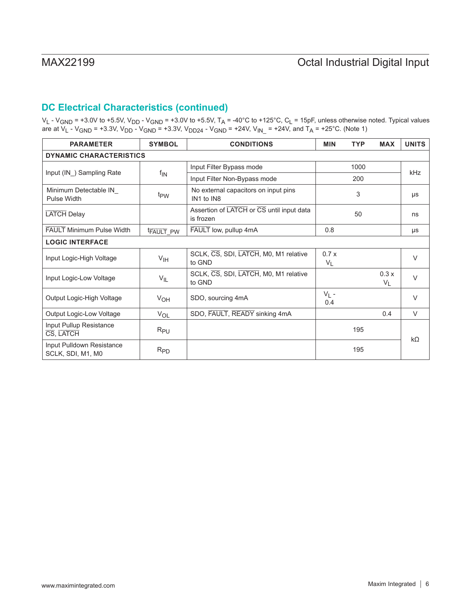# **DC Electrical Characteristics (continued)**

V<sub>L</sub> - V<sub>GND</sub> = +3.0V to +5.5V, V<sub>DD</sub> - V<sub>GND</sub> = +3.0V to +5.5V, T<sub>A</sub> = -40°C to +125°C, C<sub>L</sub> = 15pF, unless otherwise noted. Typical values are at V<sub>L</sub> - V<sub>GND</sub> = +3.3V, V<sub>DD</sub> - V<sub>GND</sub> = +3.3V, V<sub>DD24</sub> - V<sub>GND</sub> = +24V, V<sub>IN\_</sub> = +24V, and T<sub>A</sub> = +25°C. (Note 1)

| <b>PARAMETER</b>                               | <b>SYMBOL</b>   | <b>CONDITIONS</b>                                      | <b>MIN</b>     | <b>TYP</b> | <b>MAX</b>             | <b>UNITS</b> |  |
|------------------------------------------------|-----------------|--------------------------------------------------------|----------------|------------|------------------------|--------------|--|
| <b>DYNAMIC CHARACTERISTICS</b>                 |                 |                                                        |                |            |                        |              |  |
|                                                |                 | Input Filter Bypass mode                               |                | 1000       |                        |              |  |
| Input (IN) Sampling Rate                       | $f_{IN}$        | Input Filter Non-Bypass mode                           |                | 200        |                        | kHz          |  |
| Minimum Detectable IN<br>Pulse Width           | t <sub>PW</sub> | No external capacitors on input pins<br>IN1 to IN8     |                | 3          |                        | μs           |  |
| <b>LATCH Delay</b>                             |                 | Assertion of LATCH or CS until input data<br>is frozen |                | 50         |                        | ns           |  |
| <b>FAULT Minimum Pulse Width</b>               | <b>FAULT PW</b> | FAULT low, pullup 4mA                                  | 0.8            |            |                        | μs           |  |
| <b>LOGIC INTERFACE</b>                         |                 |                                                        |                |            |                        |              |  |
| Input Logic-High Voltage                       | V <sub>IH</sub> | SCLK, CS, SDI, LATCH, M0, M1 relative<br>to GND        | 0.7x<br>$V_L$  |            |                        | $\vee$       |  |
| Input Logic-Low Voltage                        | $V_{IL}$        | SCLK, CS, SDI, LATCH, M0, M1 relative<br>to GND        |                |            | 0.3x<br>V <sub>L</sub> | $\vee$       |  |
| Output Logic-High Voltage                      | V <sub>OH</sub> | SDO, sourcing 4mA                                      | $V_L$ -<br>0.4 |            |                        | $\vee$       |  |
| Output Logic-Low Voltage                       | <b>VOL</b>      | SDO, FAULT, READY sinking 4mA                          |                |            | 0.4                    | V            |  |
| Input Pullup Resistance<br>CS, LATCH           | $R_{PU}$        |                                                        |                | 195        |                        | $k\Omega$    |  |
| Input Pulldown Resistance<br>SCLK, SDI, M1, M0 | $R_{PD}$        |                                                        |                | 195        |                        |              |  |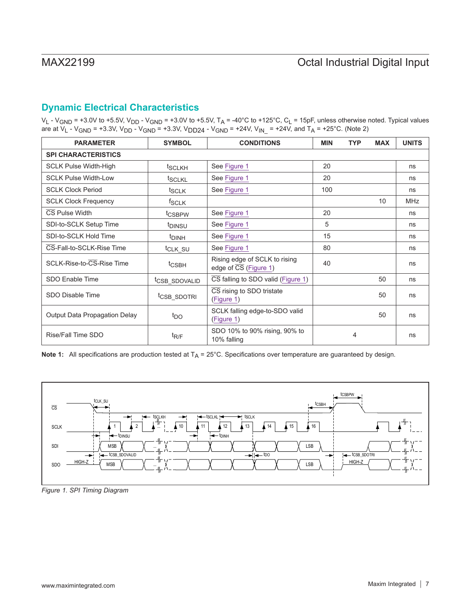# **Dynamic Electrical Characteristics**

V<sub>L</sub> - V<sub>GND</sub> = +3.0V to +5.5V, V<sub>DD</sub> - V<sub>GND</sub> = +3.0V to +5.5V, T<sub>A</sub> = -40°C to +125°C, C<sub>L</sub> = 15pF, unless otherwise noted. Typical values are at V<sub>L</sub> - V<sub>GND</sub> = +3.3V, V<sub>DD</sub> - V<sub>GND</sub> = +3.3V, V<sub>DD24</sub> - V<sub>GND</sub> = +24V, V<sub>IN\_</sub> = +24V, and T<sub>A</sub> = +25°C. (Note 2)

| <b>PARAMETER</b>                | <b>SYMBOL</b>             | <b>CONDITIONS</b>                                      | <b>MIN</b> | <b>TYP</b> | <b>MAX</b> | <b>UNITS</b> |
|---------------------------------|---------------------------|--------------------------------------------------------|------------|------------|------------|--------------|
| <b>SPI CHARACTERISTICS</b>      |                           |                                                        |            |            |            |              |
| <b>SCLK Pulse Width-High</b>    | <sup>t</sup> SCLKH        | See Figure 1                                           | 20         |            |            | ns           |
| <b>SCLK Pulse Width-Low</b>     | <sup>t</sup> SCLKL        | See Figure 1                                           | 20         |            |            | ns           |
| <b>SCLK Clock Period</b>        | t <sub>SCLK</sub>         | See Figure 1                                           | 100        |            |            | ns           |
| <b>SCLK Clock Frequency</b>     | <b>f<sub>SCLK</sub></b>   |                                                        |            |            | 10         | <b>MHz</b>   |
| CS Pulse Width                  | <sup>t</sup> CSBPW        | See Figure 1                                           | 20         |            |            | ns           |
| SDI-to-SCLK Setup Time          | <sup>t</sup> DINSU        | See Figure 1                                           | 5          |            |            | ns           |
| SDI-to-SCLK Hold Time           | <sup>t</sup> DINH         | See Figure 1                                           | 15         |            |            | ns           |
| CS-Fall-to-SCLK-Rise Time       | <sup>t</sup> CLK_SU       | See Figure 1                                           | 80         |            |            | ns           |
| SCLK-Rise-to-CS-Rise Time       | t <sub>CSBH</sub>         | Rising edge of SCLK to rising<br>edge of CS (Figure 1) | 40         |            |            | ns           |
| <b>SDO Enable Time</b>          | <sup>t</sup> CSB SDOVALID | $\overline{\text{CS}}$ falling to SDO valid (Figure 1) |            |            | 50         | ns           |
| SDO Disable Time                | t <sub>CSB</sub> SDOTRI   | CS rising to SDO tristate<br>(Figure 1)                |            |            | 50         | ns           |
| Output Data Propagation Delay   | t <sub>DO</sub>           | SCLK falling edge-to-SDO valid<br>(Figure 1)           |            |            | 50         | ns           |
| Rise/Fall Time SDO<br>$t_{R/F}$ |                           | SDO 10% to 90% rising, 90% to<br>10% falling           |            | 4          |            | ns           |

**Note 1:** All specifications are production tested at  $T_A = 25^\circ$ C. Specifications over temperature are guaranteed by design.

<span id="page-6-0"></span>

*Figure 1. SPI Timing Diagram*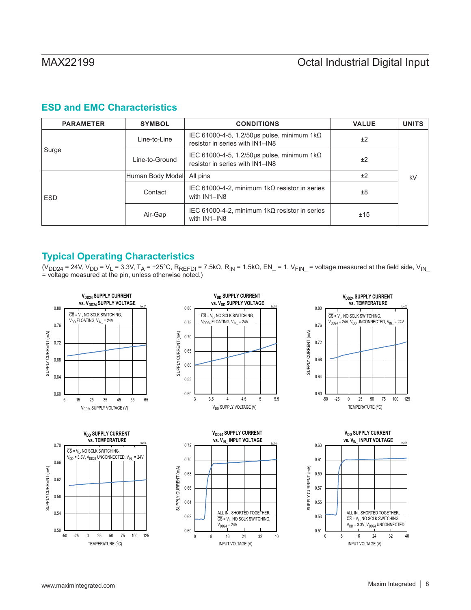# **ESD and EMC Characteristics**

| <b>PARAMETER</b> | <b>SYMBOL</b>    | <b>CONDITIONS</b>                                                                           | <b>VALUE</b> | <b>UNITS</b> |
|------------------|------------------|---------------------------------------------------------------------------------------------|--------------|--------------|
|                  | Line-to-Line     | IEC 61000-4-5, 1.2/50μs pulse, minimum 1kΩ<br>resistor in series with IN1-IN8               | ±2           |              |
| Surge            | Line-to-Ground   | IEC 61000-4-5, 1.2/50 $\mu$ s pulse, minimum 1k $\Omega$<br>resistor in series with IN1-IN8 | ±2           |              |
|                  | Human Body Model | All pins                                                                                    | ±2           | kV           |
| <b>ESD</b>       | Contact          | IEC 61000-4-2, minimum $1k\Omega$ resistor in series<br>with IN1-IN8                        | ±8           |              |
|                  | Air-Gap          | IEC 61000-4-2, minimum $1k\Omega$ resistor in series<br>with IN1-IN8                        | ±15          |              |

# **Typical Operating Characteristics**

 $(V_{DD24} = 24V, V_{DD} = V_L = 3.3V, T_A = +25°C, R_{REFDI} = 7.5kΩ, R_N = 1.5kΩ, EN_r = 1, V_{FIN_r} = voltage measured at the field side, V_{IN_r} = 1.5kΩ, E = 1.5kΩ, E = 1.5kΩ, E = 1.5kΩ, E = 1.5kΩ, E = 1.5kΩ, E = 1.5kΩ, E = 1.5kΩ, E = 1.5kΩ, E = 1.5kΩ, E = 1.5kΩ, E = 1.5kΩ, E = 1.5kΩ, E = 1.5kΩ, E = 1.5kΩ, E = 1$ = voltage measured at the pin, unless otherwise noted.)

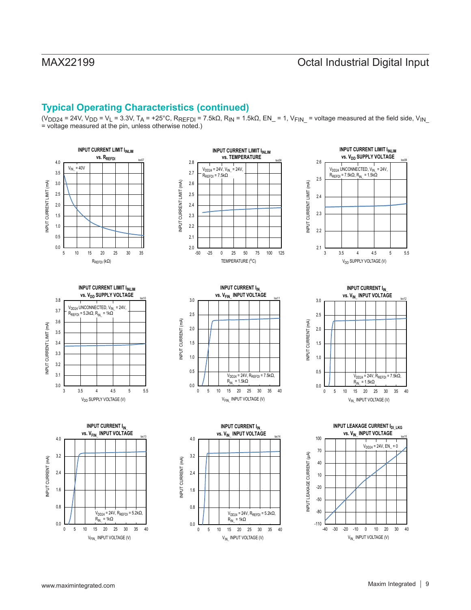# **Typical Operating Characteristics (continued)**

(V<sub>DD24</sub> = 24V, V<sub>DD</sub> = V<sub>L</sub> = 3.3V, T<sub>A</sub> = +25°C, R<sub>REFDI</sub> = 7.5kΩ, R<sub>IN</sub> = 1.5kΩ, EN\_ = 1, V<sub>FIN</sub> = voltage measured at the field side, V<sub>IN</sub> = voltage measured at the pin, unless otherwise noted.)

















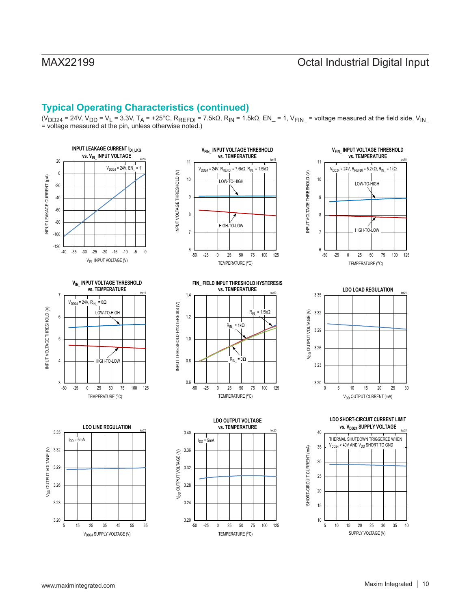# **Typical Operating Characteristics (continued)**

(V<sub>DD24</sub> = 24V, V<sub>DD</sub> = V<sub>L</sub> = 3.3V, T<sub>A</sub> = +25°C, R<sub>REFDI</sub> = 7.5kΩ, R<sub>IN</sub> = 1.5kΩ, EN\_ = 1, V<sub>FIN</sub> = voltage measured at the field side, V<sub>IN</sub> = voltage measured at the pin, unless otherwise noted.)

















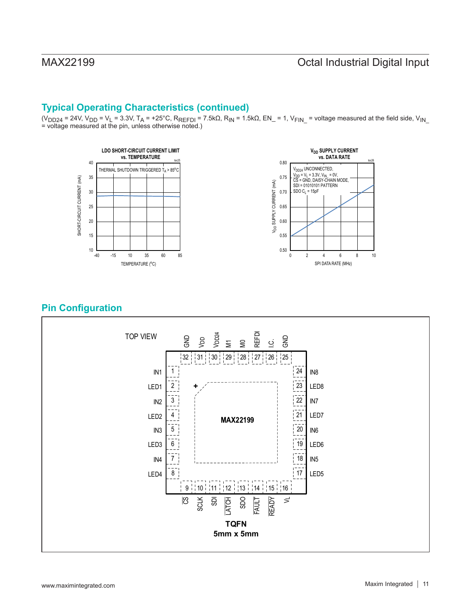# **Typical Operating Characteristics (continued)**

(V<sub>DD24</sub> = 24V, V<sub>DD</sub> = V<sub>L</sub> = 3.3V, T<sub>A</sub> = +25°C, R<sub>REFDI</sub> = 7.5kΩ, R<sub>IN</sub> = 1.5kΩ, EN\_ = 1, V<sub>FIN</sub> = voltage measured at the field side, V<sub>IN</sub> = voltage measured at the pin, unless otherwise noted.)





# **Pin Configuration**

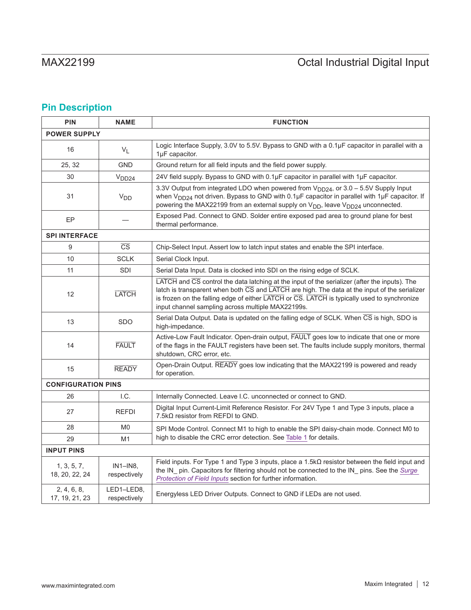# **Pin Description**

| <b>PIN</b>                                                     | <b>NAME</b>                | <b>FUNCTION</b>                                                                                                                                                                                                                                                                                                                                                                     |  |  |  |  |
|----------------------------------------------------------------|----------------------------|-------------------------------------------------------------------------------------------------------------------------------------------------------------------------------------------------------------------------------------------------------------------------------------------------------------------------------------------------------------------------------------|--|--|--|--|
| <b>POWER SUPPLY</b>                                            |                            |                                                                                                                                                                                                                                                                                                                                                                                     |  |  |  |  |
| 16                                                             | $V_L$                      | Logic Interface Supply, 3.0V to 5.5V. Bypass to GND with a 0.1µF capacitor in parallel with a<br>1µF capacitor.                                                                                                                                                                                                                                                                     |  |  |  |  |
| 25, 32                                                         | <b>GND</b>                 | Ground return for all field inputs and the field power supply.                                                                                                                                                                                                                                                                                                                      |  |  |  |  |
| 30                                                             | V <sub>DD24</sub>          | 24V field supply. Bypass to GND with 0.1µF capacitor in parallel with 1µF capacitor.                                                                                                                                                                                                                                                                                                |  |  |  |  |
| 31                                                             | V <sub>DD</sub>            | 3.3V Output from integrated LDO when powered from V <sub>DD24</sub> , or 3.0 - 5.5V Supply Input<br>when V <sub>DD24</sub> not driven. Bypass to GND with 0.1µF capacitor in parallel with 1µF capacitor. If<br>powering the MAX22199 from an external supply on V <sub>DD</sub> , leave V <sub>DD24</sub> unconnected.                                                             |  |  |  |  |
| EP                                                             |                            | Exposed Pad. Connect to GND. Solder entire exposed pad area to ground plane for best<br>thermal performance.                                                                                                                                                                                                                                                                        |  |  |  |  |
| <b>SPI INTERFACE</b>                                           |                            |                                                                                                                                                                                                                                                                                                                                                                                     |  |  |  |  |
| 9                                                              | $\overline{\text{CS}}$     | Chip-Select Input. Assert low to latch input states and enable the SPI interface.                                                                                                                                                                                                                                                                                                   |  |  |  |  |
| 10                                                             | <b>SCLK</b>                | Serial Clock Input.                                                                                                                                                                                                                                                                                                                                                                 |  |  |  |  |
| 11                                                             | <b>SDI</b>                 | Serial Data Input. Data is clocked into SDI on the rising edge of SCLK.                                                                                                                                                                                                                                                                                                             |  |  |  |  |
| <b>LATCH</b><br>12<br>13<br><b>SDO</b><br>14<br><b>FAULT</b>   |                            | LATCH and CS control the data latching at the input of the serializer (after the inputs). The<br>latch is transparent when both $\overline{CS}$ and $\overline{\text{LATCH}}$ are high. The data at the input of the serializer<br>is frozen on the falling edge of either LATCH or CS. LATCH is typically used to synchronize<br>input channel sampling across multiple MAX22199s. |  |  |  |  |
|                                                                |                            | Serial Data Output. Data is updated on the falling edge of SCLK. When CS is high, SDO is<br>high-impedance.                                                                                                                                                                                                                                                                         |  |  |  |  |
|                                                                |                            | Active-Low Fault Indicator. Open-drain output, FAULT goes low to indicate that one or more<br>of the flags in the FAULT registers have been set. The faults include supply monitors, thermal<br>shutdown, CRC error, etc.                                                                                                                                                           |  |  |  |  |
| 15                                                             | <b>READY</b>               | Open-Drain Output. READY goes low indicating that the MAX22199 is powered and ready<br>for operation.                                                                                                                                                                                                                                                                               |  |  |  |  |
| <b>CONFIGURATION PINS</b>                                      |                            |                                                                                                                                                                                                                                                                                                                                                                                     |  |  |  |  |
| 26                                                             | I.C.                       | Internally Connected. Leave I.C. unconnected or connect to GND.                                                                                                                                                                                                                                                                                                                     |  |  |  |  |
| 27                                                             | REFDI                      | Digital Input Current-Limit Reference Resistor. For 24V Type 1 and Type 3 inputs, place a<br>$7.5k\Omega$ resistor from REFDI to GND.                                                                                                                                                                                                                                               |  |  |  |  |
| 28                                                             | M <sub>0</sub>             | SPI Mode Control. Connect M1 to high to enable the SPI daisy-chain mode. Connect M0 to                                                                                                                                                                                                                                                                                              |  |  |  |  |
| 29                                                             | M1                         | high to disable the CRC error detection. See Table 1 for details.                                                                                                                                                                                                                                                                                                                   |  |  |  |  |
| <b>INPUT PINS</b>                                              |                            |                                                                                                                                                                                                                                                                                                                                                                                     |  |  |  |  |
| 1, 3, 5, 7,<br>$IN1$ – $IN8$<br>18, 20, 22, 24<br>respectively |                            | Field inputs. For Type 1 and Type 3 inputs, place a $1.5k\Omega$ resistor between the field input and<br>the IN_ pin. Capacitors for filtering should not be connected to the IN_ pins. See the Surge<br>Protection of Field Inputs section for further information.                                                                                                                |  |  |  |  |
| 2, 4, 6, 8,<br>17, 19, 21, 23                                  | LED1-LED8,<br>respectively | Energyless LED Driver Outputs. Connect to GND if LEDs are not used.                                                                                                                                                                                                                                                                                                                 |  |  |  |  |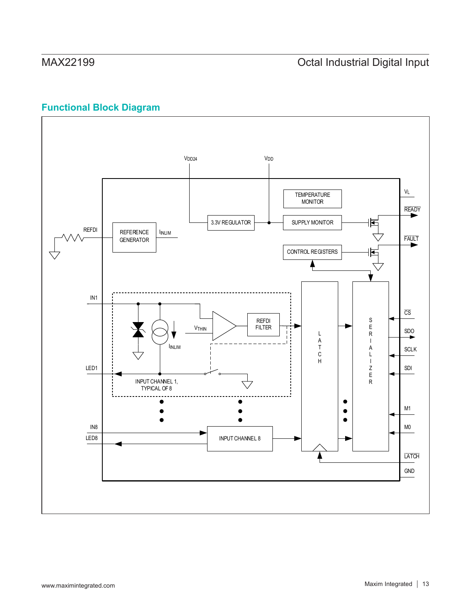# **Functional Block Diagram**

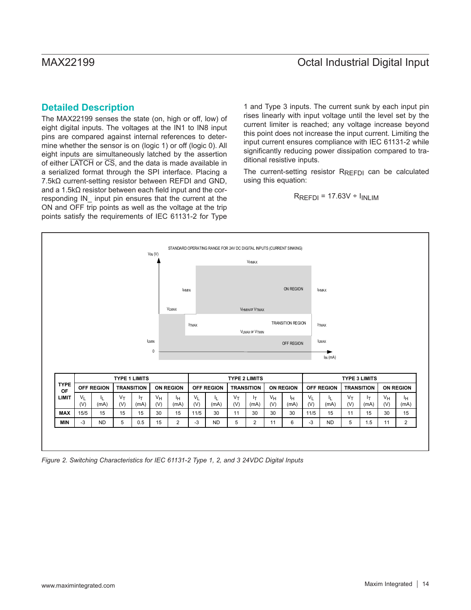# **Detailed Description**

The MAX22199 senses the state (on, high or off, low) of eight digital inputs. The voltages at the IN1 to IN8 input pins are compared against internal references to determine whether the sensor is on (logic 1) or off (logic 0). All eight inputs are simultaneously latched by the assertion of either LATCH or CS, and the data is made available in a serialized format through the SPI interface. Placing a 7.5kΩ current-setting resistor between REFDI and GND, and a 1.5kΩ resistor between each field input and the corresponding IN input pin ensures that the current at the ON and OFF trip points as well as the voltage at the trip points satisfy the requirements of IEC 61131-2 for Type

1 and Type 3 inputs. The current sunk by each input pin rises linearly with input voltage until the level set by the current limiter is reached; any voltage increase beyond this point does not increase the input current. Limiting the input current ensures compliance with IEC 61131-2 while significantly reducing power dissipation compared to traditional resistive inputs.

The current-setting resistor RRFFDI can be calculated using this equation:

$$
R_{REFDI} = 17.63V \div I_{INLIM}
$$



*Figure 2. Switching Characteristics for IEC 61131-2 Type 1, 2, and 3 24VDC Digital Inputs*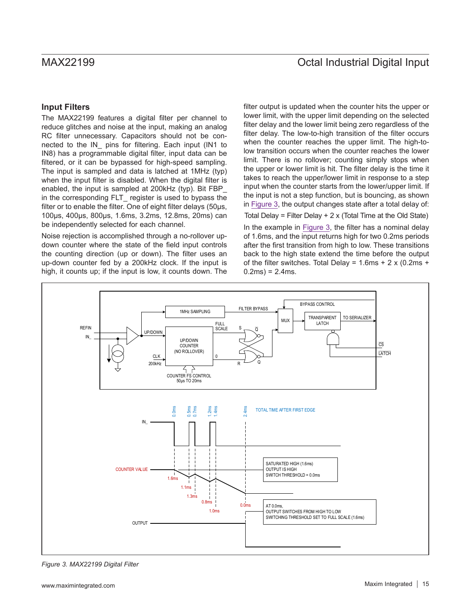### **Input Filters**

The MAX22199 features a digital filter per channel to reduce glitches and noise at the input, making an analog RC filter unnecessary. Capacitors should not be connected to the IN\_ pins for filtering. Each input (IN1 to IN8) has a programmable digital filter, input data can be filtered, or it can be bypassed for high-speed sampling. The input is sampled and data is latched at 1MHz (typ) when the input filter is disabled. When the digital filter is enabled, the input is sampled at 200kHz (typ). Bit FBP\_ in the corresponding FLT\_ register is used to bypass the filter or to enable the filter. One of eight filter delays (50µs, 100µs, 400µs, 800µs, 1.6ms, 3.2ms, 12.8ms, 20ms) can be independently selected for each channel.

Noise rejection is accomplished through a no-rollover updown counter where the state of the field input controls the counting direction (up or down). The filter uses an up-down counter fed by a 200kHz clock. If the input is high, it counts up; if the input is low, it counts down. The filter output is updated when the counter hits the upper or lower limit, with the upper limit depending on the selected filter delay and the lower limit being zero regardless of the filter delay. The low-to-high transition of the filter occurs when the counter reaches the upper limit. The high-tolow transition occurs when the counter reaches the lower limit. There is no rollover; counting simply stops when the upper or lower limit is hit. The filter delay is the time it takes to reach the upper/lower limit in response to a step input when the counter starts from the lower/upper limit. If the input is not a step function, but is bouncing, as shown in [Figure 3](#page-14-0), the output changes state after a total delay of: Total Delay = Filter Delay + 2 x (Total Time at the Old State) In the example in [Figure 3,](#page-14-0) the filter has a nominal delay of 1.6ms, and the input returns high for two 0.2ms periods

after the first transition from high to low. These transitions back to the high state extend the time before the output of the filter switches. Total Delay =  $1.6 \text{ms} + 2 \times (0.2 \text{ms} +$  $0.2ms = 2.4ms$ .

<span id="page-14-0"></span>

*Figure 3. MAX22199 Digital Filter*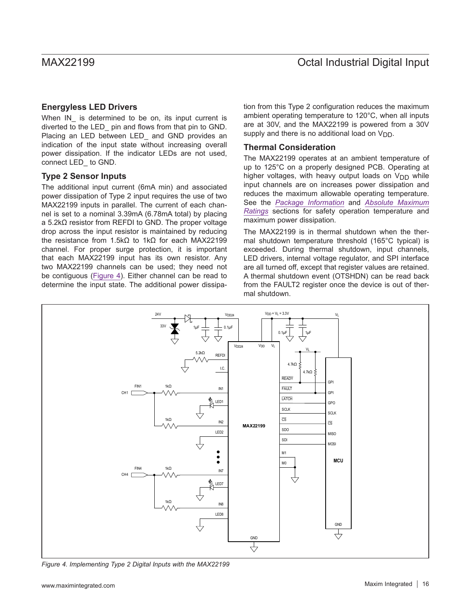# **Energyless LED Drivers**

When IN is determined to be on, its input current is diverted to the LED\_ pin and flows from that pin to GND. Placing an LED between LED\_ and GND provides an indication of the input state without increasing overall power dissipation. If the indicator LEDs are not used, connect LED\_ to GND.

# **Type 2 Sensor Inputs**

The additional input current (6mA min) and associated power dissipation of Type 2 input requires the use of two MAX22199 inputs in parallel. The current of each channel is set to a nominal 3.39mA (6.78mA total) by placing a 5.2kΩ resistor from REFDI to GND. The proper voltage drop across the input resistor is maintained by reducing the resistance from 1.5kΩ to 1kΩ for each MAX22199 channel. For proper surge protection, it is important that each MAX22199 input has its own resistor. Any two MAX22199 channels can be used; they need not be contiguous ([Figure 4\)](#page-15-0). Either channel can be read to determine the input state. The additional power dissipation from this Type 2 configuration reduces the maximum ambient operating temperature to 120°C, when all inputs are at 30V, and the MAX22199 is powered from a 30V supply and there is no additional load on  $V_{DD}$ .

# **Thermal Consideration**

The MAX22199 operates at an ambient temperature of up to 125°C on a properly designed PCB. Operating at higher voltages, with heavy output loads on  $V_{DD}$  while input channels are on increases power dissipation and reduces the maximum allowable operating temperature. See the *[Package Information](#page-2-0)* and *[Absolute Maximum](#page-2-1)  [Ratings](#page-2-1)* sections for safety operation temperature and maximum power dissipation.

The MAX22199 is in thermal shutdown when the thermal shutdown temperature threshold (165°C typical) is exceeded. During thermal shutdown, input channels, LED drivers, internal voltage regulator, and SPI interface are all turned off, except that register values are retained. A thermal shutdown event (OTSHDN) can be read back from the FAULT2 register once the device is out of thermal shutdown.

<span id="page-15-0"></span>

*Figure 4. Implementing Type 2 Digital Inputs with the MAX22199*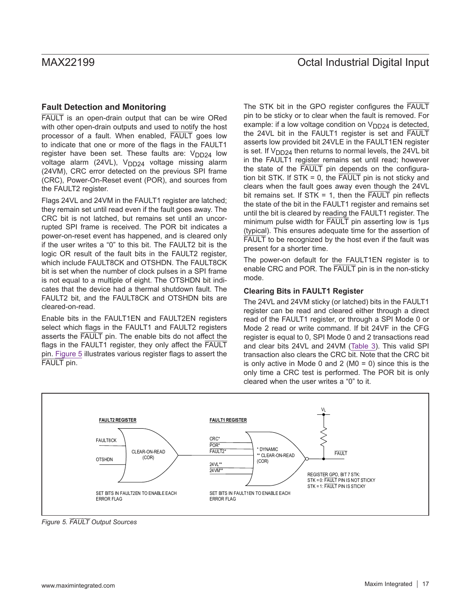# **Fault Detection and Monitoring**

FAULT is an open-drain output that can be wire ORed with other open-drain outputs and used to notify the host processor of a fault. When enabled, FAULT goes low to indicate that one or more of the flags in the FAULT1 register have been set. These faults are:  $V_{DD24}$  low voltage alarm  $(24VL)$ ,  $V_{DD24}$  voltage missing alarm (24VM), CRC error detected on the previous SPI frame (CRC), Power-On-Reset event (POR), and sources from the FAULT2 register.

Flags 24VL and 24VM in the FAULT1 register are latched; they remain set until read even if the fault goes away. The CRC bit is not latched, but remains set until an uncorrupted SPI frame is received. The POR bit indicates a power-on-reset event has happened, and is cleared only if the user writes a "0" to this bit. The FAULT2 bit is the logic OR result of the fault bits in the FAULT2 register, which include FAULT8CK and OTSHDN. The FAULT8CK bit is set when the number of clock pulses in a SPI frame is not equal to a multiple of eight. The OTSHDN bit indicates that the device had a thermal shutdown fault. The FAULT2 bit, and the FAULT8CK and OTSHDN bits are cleared-on-read.

Enable bits in the FAULT1EN and FAULT2EN registers select which flags in the FAULT1 and FAULT2 registers asserts the FAULT pin. The enable bits do not affect the flags in the FAULT1 register, they only affect the FAULT pin. [Figure 5](#page-16-0) illustrates various register flags to assert the FAULT pin.

The STK bit in the GPO register configures the FAULT pin to be sticky or to clear when the fault is removed. For example: if a low voltage condition on  $V_{DD24}$  is detected, the 24VL bit in the FAULT1 register is set and FAULT asserts low provided bit 24VLE in the FAULT1EN register is set. If  $V_{DD24}$  then returns to normal levels, the 24VL bit in the FAULT1 register remains set until read; however the state of the FAULT pin depends on the configuration bit STK. If STK = 0, the  $\overline{\mathsf{FAULT}}$  pin is not sticky and clears when the fault goes away even though the 24VL bit remains set. If  $STK = 1$ , then the  $\overline{FAULT}$  pin reflects the state of the bit in the FAULT1 register and remains set until the bit is cleared by reading the FAULT1 register. The minimum pulse width for FAULT pin asserting low is 1µs (typical). This ensures adequate time for the assertion of FAULT to be recognized by the host even if the fault was present for a shorter time.

The power-on default for the FAULT1EN register is to enable CRC and POR. The FAULT pin is in the non-sticky mode.

### **Clearing Bits in FAULT1 Register**

The 24VL and 24VM sticky (or latched) bits in the FAULT1 register can be read and cleared either through a direct read of the FAULT1 register, or through a SPI Mode 0 or Mode 2 read or write command. If bit 24VF in the CFG register is equal to 0, SPI Mode 0 and 2 transactions read and clear bits 24VL and 24VM [\(Table 3](#page-21-0)). This valid SPI transaction also clears the CRC bit. Note that the CRC bit is only active in Mode 0 and 2 ( $MO = 0$ ) since this is the only time a CRC test is performed. The POR bit is only cleared when the user writes a "0" to it.

<span id="page-16-0"></span>

<span id="page-16-1"></span>*Figure 5. FAULT Output Sources*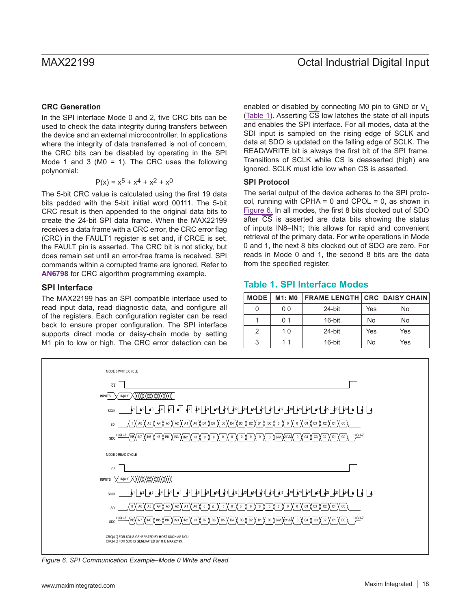# MAX22199 Octal Industrial Digital Input

### **CRC Generation**

In the SPI interface Mode 0 and 2, five CRC bits can be used to check the data integrity during transfers between the device and an external microcontroller. In applications where the integrity of data transferred is not of concern, the CRC bits can be disabled by operating in the SPI Mode 1 and 3 ( $MO = 1$ ). The CRC uses the following polynomial:

$$
P(x) = x^5 + x^4 + x^2 + x^0
$$

The 5-bit CRC value is calculated using the first 19 data bits padded with the 5-bit initial word 00111. The 5-bit CRC result is then appended to the original data bits to create the 24-bit SPI data frame. When the MAX22199 receives a data frame with a CRC error, the CRC error flag (CRC) in the FAULT1 register is set and, if CRCE is set, the FAULT pin is asserted. The CRC bit is not sticky, but does remain set until an error-free frame is received. SPI commands within a corrupted frame are ignored. Refer to **[AN6798](https://www.maximintegrated.com/en/design/technical-documents/app-notes/6/6798.html)** for CRC algorithm programming example.

### **SPI Interface**

The MAX22199 has an SPI compatible interface used to read input data, read diagnostic data, and configure all of the registers. Each configuration register can be read back to ensure proper configuration. The SPI interface supports direct mode or daisy-chain mode by setting M1 pin to low or high. The CRC error detection can be

enabled or disabled by connecting M0 pin to GND or  $V_1$ ([Table 1](#page-17-0)). Asserting  $\overline{CS}$  low latches the state of all inputs and enables the SPI interface. For all modes, data at the SDI input is sampled on the rising edge of SCLK and data at SDO is updated on the falling edge of SCLK. The READ/WRITE bit is always the first bit of the SPI frame. Transitions of SCLK while  $\overline{CS}$  is deasserted (high) are ignored. SCLK must idle low when  $\overline{CS}$  is asserted.

### **SPI Protocol**

The serial output of the device adheres to the SPI protocol, running with CPHA =  $0$  and CPOL =  $0$ , as shown in [Figure 6.](#page-17-1) In all modes, the first 8 bits clocked out of SDO after  $\overline{CS}$  is asserted are data bits showing the status of inputs IN8–IN1; this allows for rapid and convenient retrieval of the primary data. For write operations in Mode 0 and 1, the next 8 bits clocked out of SDO are zero. For reads in Mode 0 and 1, the second 8 bits are the data from the specified register.

# <span id="page-17-0"></span>**Table 1. SPI Interface Modes**

| <b>MODE</b> | <b>M1: M0</b>  | <b>FRAME LENGTH CRC DAISY CHAIN</b> |     |     |
|-------------|----------------|-------------------------------------|-----|-----|
|             | 0 <sub>0</sub> | 24-bit                              | Yes | No  |
|             | 01             | 16-bit                              | No  | No  |
| 2           | 10             | 24-bit                              | Yes | Yes |
| 3           | 11             | 16-bit                              | No  | Yes |

<span id="page-17-1"></span>

*Figure 6. SPI Communication Example–Mode 0 Write and Read*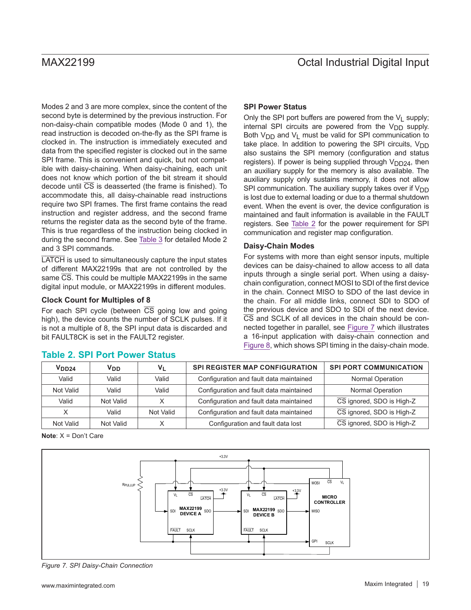Only the SPI port buffers are powered from the  $V_L$  supply; internal SPI circuits are powered from the  $V_{DD}$  supply. Both  $V_{DD}$  and  $V_L$  must be valid for SPI communication to take place. In addition to powering the SPI circuits,  $V_{DD}$ also sustains the SPI memory (configuration and status registers). If power is being supplied through  $V_{DD24}$ , then an auxiliary supply for the memory is also available. The auxiliary supply only sustains memory, it does not allow SPI communication. The auxiliary supply takes over if  $V_{DD}$ is lost due to external loading or due to a thermal shutdown event. When the event is over, the device configuration is maintained and fault information is available in the FAULT registers. See [Table 2](#page-18-0) for the power requirement for SPI

communication and register map configuration.

For systems with more than eight sensor inputs, multiple devices can be daisy-chained to allow access to all data inputs through a single serial port. When using a daisychain configuration, connect MOSI to SDI of the first device in the chain. Connect MISO to SDO of the last device in the chain. For all middle links, connect SDI to SDO of the previous device and SDO to SDI of the next device. CS and SCLK of all devices in the chain should be connected together in parallel, see [Figure 7](#page-18-1) which illustrates a 16-input application with daisy-chain connection and [Figure 8](#page-19-0), which shows SPI timing in the daisy-chain mode.

**SPI Power Status**

**Daisy-Chain Modes**

Modes 2 and 3 are more complex, since the content of the second byte is determined by the previous instruction. For non-daisy-chain compatible modes (Mode 0 and 1), the read instruction is decoded on-the-fly as the SPI frame is clocked in. The instruction is immediately executed and data from the specified register is clocked out in the same SPI frame. This is convenient and quick, but not compatible with daisy-chaining. When daisy-chaining, each unit does not know which portion of the bit stream it should decode until  $\overline{\text{CS}}$  is deasserted (the frame is finished). To accommodate this, all daisy-chainable read instructions require two SPI frames. The first frame contains the read instruction and register address, and the second frame returns the register data as the second byte of the frame. This is true regardless of the instruction being clocked in during the second frame. See [Table 3](#page-21-0) for detailed Mode 2 and 3 SPI commands.

LATCH is used to simultaneously capture the input states of different MAX22199s that are not controlled by the same  $\overline{CS}$ . This could be multiple MAX22199s in the same digital input module, or MAX22199s in different modules.

### **Clock Count for Multiples of 8**

For each SPI cycle (between  $\overline{CS}$  going low and going high), the device counts the number of SCLK pulses. If it is not a multiple of 8, the SPI input data is discarded and bit FAULT8CK is set in the FAULT2 register.

| TAMIG 4. UL I I UIL I UWGI ULALUS |                 |                |                                         |                               |  |  |  |  |
|-----------------------------------|-----------------|----------------|-----------------------------------------|-------------------------------|--|--|--|--|
| V <sub>DD24</sub>                 | V <sub>DD</sub> | V <sub>L</sub> | SPI REGISTER MAP CONFIGURATION          | <b>SPI PORT COMMUNICATION</b> |  |  |  |  |
| Valid                             | Valid           | Valid          | Configuration and fault data maintained | Normal Operation              |  |  |  |  |
| Not Valid                         | Valid           | Valid          | Configuration and fault data maintained | Normal Operation              |  |  |  |  |
| Valid                             | Not Valid       |                | Configuration and fault data maintained | CS ignored, SDO is High-Z     |  |  |  |  |
|                                   | Valid           | Not Valid      | Configuration and fault data maintained | CS ignored, SDO is High-Z     |  |  |  |  |
| Not Valid                         | Not Valid       |                | Configuration and fault data lost       | CS ignored, SDO is High-Z     |  |  |  |  |

### <span id="page-18-0"></span>**Table 2. SPI Port Power Status**

### **Note**: X = Don't Care

<span id="page-18-1"></span>

*Figure 7. SPI Daisy-Chain Connection*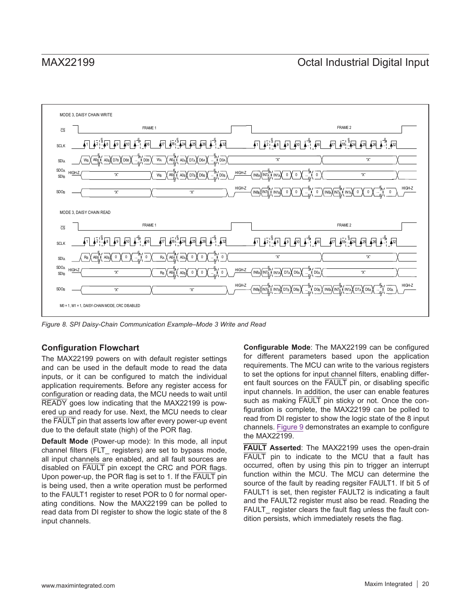# MAX22199 **MAX22199 Octal Industrial Digital Input**

<span id="page-19-0"></span>

*Figure 8. SPI Daisy-Chain Communication Example–Mode 3 Write and Read*

### **Configuration Flowchart**

The MAX22199 powers on with default register settings and can be used in the default mode to read the data inputs, or it can be configured to match the individual application requirements. Before any register access for configuration or reading data, the MCU needs to wait until READY goes low indicating that the MAX22199 is powered up and ready for use. Next, the MCU needs to clear the FAULT pin that asserts low after every power-up event due to the default state (high) of the POR flag.

**Default Mode** (Power-up mode): In this mode, all input channel filters (FLT\_ registers) are set to bypass mode, all input channels are enabled, and all fault sources are disabled on FAULT pin except the CRC and POR flags. Upon power-up, the POR flag is set to 1. If the FAULT pin is being used, then a write operation must be performed to the FAULT1 register to reset POR to 0 for normal operating conditions. Now the MAX22199 can be polled to read data from DI register to show the logic state of the 8 input channels.

**Configurable Mode**: The MAX22199 can be configured for different parameters based upon the application requirements. The MCU can write to the various registers to set the options for input channel filters, enabling different fault sources on the FAULT pin, or disabling specific input channels. In addition, the user can enable features such as making FAULT pin sticky or not. Once the configuration is complete, the MAX22199 can be polled to read from DI register to show the logic state of the 8 input channels. [Figure 9](#page-20-0) demonstrates an example to configure the MAX22199.

**FAULT Asserted**: The MAX22199 uses the open-drain FAULT pin to indicate to the MCU that a fault has occurred, often by using this pin to trigger an interrupt function within the MCU. The MCU can determine the source of the fault by reading regsiter FAULT1. If bit 5 of FAULT1 is set, then register FAULT2 is indicating a fault and the FAULT2 register must also be read. Reading the FAULT register clears the fault flag unless the fault condition persists, which immediately resets the flag.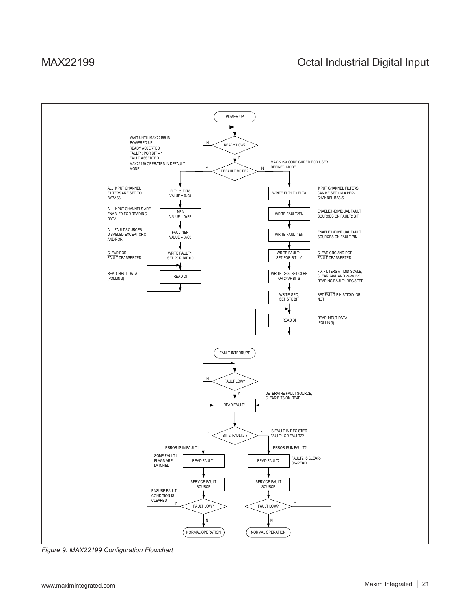<span id="page-20-0"></span>

*Figure 9. MAX22199 Configuration Flowchart*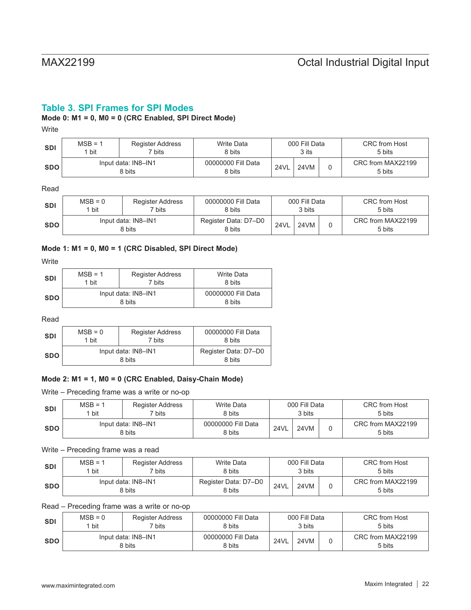# <span id="page-21-0"></span>**Table 3. SPI Frames for SPI Modes**

### **Mode 0: M1 = 0, M0 = 0 (CRC Enabled, SPI Direct Mode)**

Write

| <b>SDI</b> | $MSB = 1$<br>bit | Register Address<br>7 bits    | Write Data<br>8 bits         |             | 000 Fill Data<br>3 its | <b>CRC</b> from Host<br>5 bits |
|------------|------------------|-------------------------------|------------------------------|-------------|------------------------|--------------------------------|
| <b>SDO</b> |                  | Input data: IN8-IN1<br>8 bits | 00000000 Fill Data<br>8 bits | <b>24VL</b> | 24VM                   | CRC from MAX22199<br>5 bits    |

Read

| <b>SDI</b> | $MSB = 0$<br>bit | <b>Register Address</b><br>7 bits | 00000000 Fill Data<br>8 bits   |             | 000 Fill Data<br>3 bits |   | <b>CRC</b> from Host<br>5 bits |
|------------|------------------|-----------------------------------|--------------------------------|-------------|-------------------------|---|--------------------------------|
| <b>SDO</b> |                  | Input data: IN8-IN1<br>8 bits     | Register Data: D7-D0<br>8 bits | <b>24VL</b> | 24VM                    | 0 | CRC from MAX22199<br>5 bits    |

### **Mode 1: M1 = 0, M0 = 1 (CRC Disabled, SPI Direct Mode)**

**Write** 

| <b>SDI</b> | $MSB = 1$ | <b>Register Address</b>       | <b>Write Data</b>            |
|------------|-----------|-------------------------------|------------------------------|
|            | 1 bit     | 7 bits                        | 8 bits                       |
| <b>SDO</b> |           | Input data: IN8-IN1<br>8 bits | 00000000 Fill Data<br>8 bits |

Read

| <b>SDI</b> | $MSB = 0$ | <b>Register Address</b>       | 00000000 Fill Data             |
|------------|-----------|-------------------------------|--------------------------------|
|            | 1 bit     | 7 bits                        | 8 bits                         |
| <b>SDO</b> |           | Input data: IN8-IN1<br>8 bits | Register Data: D7-D0<br>8 bits |

### **Mode 2: M1 = 1, M0 = 0 (CRC Enabled, Daisy-Chain Mode)**

Write – Preceding frame was a write or no-op

| <b>SDI</b> | $MSB = 1$<br>bit | Register Address<br><sup>ㅋ</sup> bits | <b>Write Data</b><br>8 bits  |      | 000 Fill Data<br>3 bits | <b>CRC</b> from Host<br>5 bits |
|------------|------------------|---------------------------------------|------------------------------|------|-------------------------|--------------------------------|
| <b>SDO</b> |                  | Input data: IN8-IN1<br>8 bits         | 00000000 Fill Data<br>8 bits | 24VL | 24VM                    | CRC from MAX22199<br>5 bits    |

Write – Preceding frame was a read

| <b>SDI</b> | $MSB = 1$<br>bit | <b>Register Address</b><br><sup>ㄱ</sup> bits | <b>Write Data</b><br>8 bits    |             | 000 Fill Data<br>3 bits | <b>CRC</b> from Host<br>5 bits |
|------------|------------------|----------------------------------------------|--------------------------------|-------------|-------------------------|--------------------------------|
| <b>SDO</b> |                  | Input data: IN8-IN1<br>8 bits                | Register Data: D7-D0<br>8 bits | <b>24VL</b> | 24VM                    | CRC from MAX22199<br>5 bits    |

Read – Preceding frame was a write or no-op

| <b>SDI</b> | $MSB = 0$<br>bit | <b>Register Address</b><br>7 bits | 00000000 Fill Data<br>8 bits |             | 000 Fill Data<br>3 bits | <b>CRC</b> from Host<br>5 bits |
|------------|------------------|-----------------------------------|------------------------------|-------------|-------------------------|--------------------------------|
| <b>SDO</b> |                  | Input data: IN8-IN1<br>8 bits     | 00000000 Fill Data<br>8 bits | <b>24VL</b> | 24VM                    | CRC from MAX22199<br>5 bits    |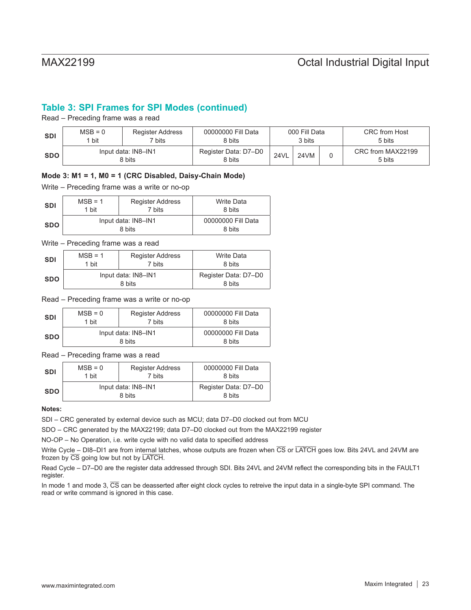# **Table 3: SPI Frames for SPI Modes (continued)**

Read – Preceding frame was a read

| <b>SDI</b> | $MSB = 0$<br>bit | <b>Register Address</b><br>7 bits | 00000000 Fill Data<br>8 bits   |             | 000 Fill Data<br>3 bits | <b>CRC</b> from Host<br>5 bits |
|------------|------------------|-----------------------------------|--------------------------------|-------------|-------------------------|--------------------------------|
| <b>SDO</b> |                  | Input data: IN8-IN1<br>8 bits     | Register Data: D7-D0<br>8 bits | <b>24VL</b> | 24VM                    | CRC from MAX22199<br>5 bits    |

### **Mode 3: M1 = 1, M0 = 1 (CRC Disabled, Daisy-Chain Mode)**

Write – Preceding frame was a write or no-op

| <b>SDI</b> | $MSB = 1$ | <b>Register Address</b>       | <b>Write Data</b>            |
|------------|-----------|-------------------------------|------------------------------|
|            | 1 bit     | 7 bits                        | 8 bits                       |
| <b>SDO</b> |           | Input data: IN8-IN1<br>8 bits | 00000000 Fill Data<br>8 bits |

Write – Preceding frame was a read

| <b>SDI</b> | $MSB = 1$ | <b>Register Address</b>       | <b>Write Data</b>              |
|------------|-----------|-------------------------------|--------------------------------|
|            | 1 bit     | 7 bits                        | 8 bits                         |
| <b>SDO</b> |           | Input data: IN8-IN1<br>8 bits | Register Data: D7-D0<br>8 bits |

Read – Preceding frame was a write or no-op

| <b>SDI</b> | $MSB = 0$ | <b>Register Address</b>       | 00000000 Fill Data           |
|------------|-----------|-------------------------------|------------------------------|
|            | 1 bit     | 7 bits                        | 8 bits                       |
| <b>SDO</b> |           | Input data: IN8-IN1<br>8 bits | 00000000 Fill Data<br>8 bits |

Read – Preceding frame was a read

| <b>SDI</b> | $MSB = 0$ | <b>Register Address</b>       | 00000000 Fill Data             |
|------------|-----------|-------------------------------|--------------------------------|
|            | 1 bit     | 7 bits                        | 8 bits                         |
| <b>SDO</b> |           | Input data: IN8-IN1<br>8 bits | Register Data: D7-D0<br>8 bits |

### **Notes:**

SDI – CRC generated by external device such as MCU; data D7–D0 clocked out from MCU

SDO – CRC generated by the MAX22199; data D7–D0 clocked out from the MAX22199 register

NO-OP – No Operation, i.e. write cycle with no valid data to specified address

Write Cycle – DI8–DI1 are from internal latches, whose outputs are frozen when CS or LATCH goes low. Bits 24VL and 24VM are frozen by  $\overline{\text{CS}}$  going low but not by LATCH.

Read Cycle – D7–D0 are the register data addressed through SDI. Bits 24VL and 24VM reflect the corresponding bits in the FAULT1 register.

In mode 1 and mode 3,  $\overline{CS}$  can be deasserted after eight clock cycles to retreive the input data in a single-byte SPI command. The read or write command is ignored in this case.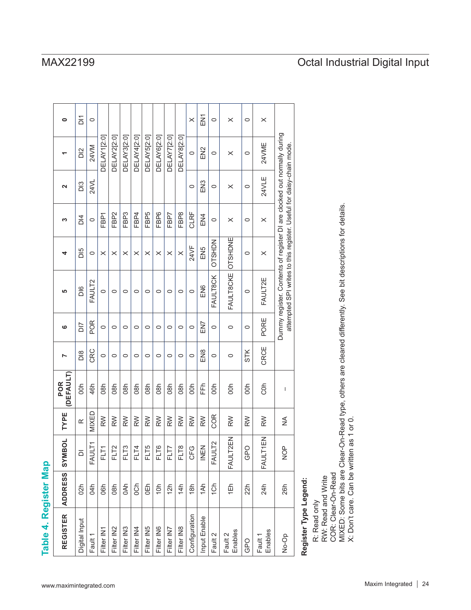# Table 4. Register Map **Table 4. Register Map**

| <b>REGISTER</b>       | <b>ADDRESS</b> | <b>NBOL</b><br>$\geq$ | TYPE         | (DEFAULT)<br>POR | ∼               | ဖ          | <b>LO</b>                                                                                                                                      | 4             | 3                | $\overline{\mathbf{a}}$ |                    | $\bullet$       |
|-----------------------|----------------|-----------------------|--------------|------------------|-----------------|------------|------------------------------------------------------------------------------------------------------------------------------------------------|---------------|------------------|-------------------------|--------------------|-----------------|
| Digital Input         | 02h            | $\overline{\circ}$    | $\simeq$     | 60h              | $\frac{8}{2}$   | <b>ZIO</b> | $\frac{6}{10}$                                                                                                                                 | DI5           | D <sub>14</sub>  | D <sub>13</sub>         | $\frac{2}{10}$     | Σí              |
| Fault 1               | 04h            | FAULT1                | <b>MIXED</b> | 46h              | CRC             | POR        | FAULT2                                                                                                                                         | $\circ$       | $\circ$          | 24VL                    | 24VM               | $\circ$         |
| Filter IN1            | 06h            | FLT <sub>1</sub>      | $\geqslant$  | 08h              | $\circ$         | $\circ$    | $\circ$                                                                                                                                        | ×             | FBP <sub>1</sub> |                         | <b>DELAY1[2:0]</b> |                 |
| Filter IN2            | 08h            | FLT <sub>2</sub>      | $\geqslant$  | 08h              | $\circ$         | $\circ$    | $\circ$                                                                                                                                        | $\times$      | FBP <sub>2</sub> |                         | DELAY2[2:0]        |                 |
| Filter IN3            | 0Ah            | FLT3                  | $\geqslant$  | 08h              | $\circ$         | $\circ$    | $\circ$                                                                                                                                        | $\times$      | FBP <sub>3</sub> |                         | DELAY3[2:0]        |                 |
| Filter IN4            | 0Ch            | FLT4                  | RW           | 08h              | $\circ$         | $\circ$    | $\circ$                                                                                                                                        | $\times$      | FBP4             |                         | <b>DELAY4[2:0]</b> |                 |
| Filter IN5            | 0Eh            | FLT5                  | $\geqslant$  | 08h              | $\circ$         | $\circ$    | $\circ$                                                                                                                                        | $\times$      | FBP <sub>5</sub> |                         | DELAY5[2:0]        |                 |
| Filter IN6            | 10h            | FLT6                  | $\geqslant$  | 08h              | $\circ$         | $\circ$    | $\circ$                                                                                                                                        | ×             | FBP6             |                         | DELAY6[2:0]        |                 |
| Filter IN7            | 12h            | FLT7                  | $\geqslant$  | 08h              | $\circ$         | $\circ$    | $\circ$                                                                                                                                        | $\times$      | FBP7             |                         | DELAY7[2:0]        |                 |
| Filter IN8            | 14h            | FLT8                  | $\geqslant$  | 08h              | $\circ$         | $\circ$    | $\circ$                                                                                                                                        | $\times$      | FBP8             |                         | DELAY8[2:0]        |                 |
| Configuration         | 18h            | CFG                   | RW           | 60h              | $\circ$         | $\circ$    | $\circ$                                                                                                                                        | 24VF          | CLRF             | $\circ$                 | $\circ$            | $\times$        |
| Input Enable          | 1Ah            | 三山<br>$\leq$          | $\geqslant$  | 다<br>도           | EN <sub>8</sub> | EN7        | EN <sub>6</sub>                                                                                                                                | EN5           | EN <sub>4</sub>  | EN <sub>3</sub>         | EN <sub>2</sub>    | EN <sub>1</sub> |
| Fault 2               | 10h            | FAULT2                | <b>COR</b>   | 60h              | $\circ$         | $\circ$    | FAULT8CK                                                                                                                                       | <b>OTSHDN</b> | $\circ$          | $\circ$                 | $\circ$            | $\circ$         |
| Enables<br>Fault 2    | 1Eh            | LT2EN<br><b>FAUL</b>  | RW           | 00h              | $\circ$         | 0          | FAULT8CKE OTSHDNE                                                                                                                              |               | $\times$         | $\times$                | $\times$           | $\times$        |
| GPO                   | 22h            | GPO                   | RW           | 00h              | <b>STK</b>      | $\circ$    | $\circ$                                                                                                                                        | $\circ$       | $\circ$          | $\circ$                 | $\circ$            | $\circ$         |
| Enables<br>Fault 1    | 24h            | <b>ILT1EN</b><br>FAUL | RW           | <b>COh</b>       | CRCE            | PORE       | FAULT2E                                                                                                                                        | $\times$      | $\times$         | 24VLE                   | 24VME              | $\times$        |
| No-Op                 | 26h            | $\frac{P}{Q}$<br>z    | ≨            | I                |                 |            | Dummy register. Contents of register DI are clocked out normally during<br>attempted SPI writes to this register. Useful for daisy-chain mode. |               |                  |                         |                    |                 |
| Register Type Legend: |                |                       |              |                  |                 |            |                                                                                                                                                |               |                  |                         |                    |                 |

٦

 $\mathbf{I}$ -1 Т

┓

 $\mathbf{I}$ 

 $\mathbf{I}$ 

-1  $\mathbf{I}$  $\mathbf{I}$  -1 -1  $\mathbf{I}$ 

f

**Register Type Legend:** R: Read only RW: Read and Write COR: Clear-On-Read

R: Read only<br>RW: Read and Write

MIXED: Some bits are Clear-On-Read type, others are cleared differently. See bit descriptions for details.

COR: Clear-On-Read<br>MIXED: Some bits are Clear-On-Read type, others are cleared differently. See bit descriptions for details.<br>X: Don't care. Can be written as 1 or 0.

X: Don't care. Can be written as 1 or 0.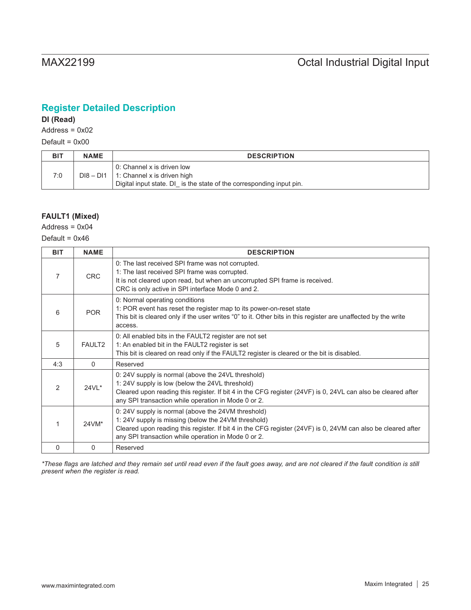# **Register Detailed Description**

**DI (Read)**

 $Address = 0x02$ 

Default =  $0x00$ 

| <b>BIT</b> | <b>NAME</b> | <b>DESCRIPTION</b>                                                                                                                              |
|------------|-------------|-------------------------------------------------------------------------------------------------------------------------------------------------|
| 7:0        |             | 0: Channel x is driven low<br>$D18 - D11$   1: Channel x is driven high<br>Digital input state. DI is the state of the corresponding input pin. |

# **FAULT1 (Mixed)**

Address =  $0x04$ 

Default =  $0x46$ 

| <b>BIT</b>     | <b>NAME</b>        | <b>DESCRIPTION</b>                                                                                                                                                                                                                                                               |
|----------------|--------------------|----------------------------------------------------------------------------------------------------------------------------------------------------------------------------------------------------------------------------------------------------------------------------------|
| 7              | <b>CRC</b>         | 0: The last received SPI frame was not corrupted.<br>1: The last received SPI frame was corrupted.<br>It is not cleared upon read, but when an uncorrupted SPI frame is received.<br>CRC is only active in SPI interface Mode 0 and 2.                                           |
| 6              | <b>POR</b>         | 0: Normal operating conditions<br>1: POR event has reset the register map to its power-on-reset state<br>This bit is cleared only if the user writes "0" to it. Other bits in this register are unaffected by the write<br>access.                                               |
| 5              | FAULT <sub>2</sub> | 0: All enabled bits in the FAULT2 register are not set<br>1: An enabled bit in the FAULT2 register is set<br>This bit is cleared on read only if the FAULT2 register is cleared or the bit is disabled.                                                                          |
| 4:3            | $\Omega$           | Reserved                                                                                                                                                                                                                                                                         |
| $\mathfrak{D}$ | $24VL*$            | 0: 24V supply is normal (above the 24VL threshold)<br>1: 24V supply is low (below the 24VL threshold)<br>Cleared upon reading this register. If bit 4 in the CFG register (24VF) is 0, 24VL can also be cleared after<br>any SPI transaction while operation in Mode 0 or 2.     |
|                | $24VM*$            | 0: 24V supply is normal (above the 24VM threshold)<br>1: 24V supply is missing (below the 24VM threshold)<br>Cleared upon reading this register. If bit 4 in the CFG register (24VF) is 0, 24VM can also be cleared after<br>any SPI transaction while operation in Mode 0 or 2. |
| 0              | 0                  | Reserved                                                                                                                                                                                                                                                                         |

*\*These flags are latched and they remain set until read even if the fault goes away, and are not cleared if the fault condition is still present when the register is read.*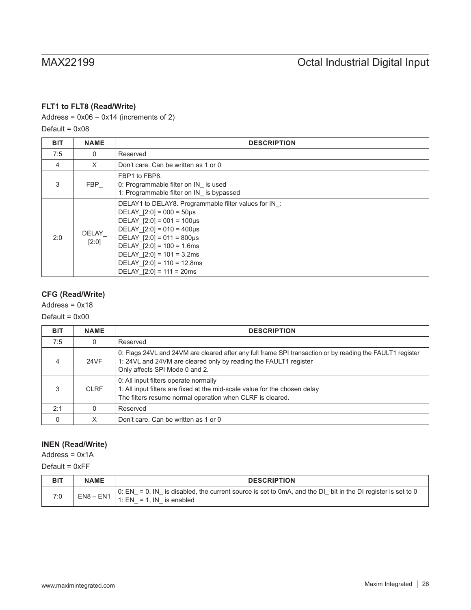# MAX22199 Octal Industrial Digital Input

# **FLT1 to FLT8 (Read/Write)**

Address =  $0x06 - 0x14$  (increments of 2)

Default =  $0x08$ 

| <b>BIT</b> | <b>NAME</b>    | <b>DESCRIPTION</b>                                                                                                                                                                                                                                                                                                              |
|------------|----------------|---------------------------------------------------------------------------------------------------------------------------------------------------------------------------------------------------------------------------------------------------------------------------------------------------------------------------------|
| 7:5        | $\Omega$       | Reserved                                                                                                                                                                                                                                                                                                                        |
| 4          | X              | Don't care. Can be written as 1 or 0                                                                                                                                                                                                                                                                                            |
| 3          | FBP            | FBP1 to FBP8.<br>0: Programmable filter on IN_ is used<br>1: Programmable filter on IN is bypassed                                                                                                                                                                                                                              |
| 2:0        | DELAY<br>[2:0] | DELAY1 to DELAY8. Programmable filter values for IN :<br>DELAY $[2:0] = 000 = 50 \mu s$<br>$DELAY_{2:0} = 001 = 100 \mu s$<br>DELAY $[2:0] = 010 = 400 \mu s$<br>$DELAY_{2:0} = 011 = 800 \mu s$<br>DELAY $[2:0] = 100 = 1.6$ ms<br>$DELAY_{2:0} = 101 = 3.2ms$<br>DELAY $[2:0] = 110 = 12.8$ ms<br>DELAY $[2:0] = 111 = 20$ ms |

### **CFG (Read/Write)**

Address =  $0x18$ 

### Default =  $0x00$

| <b>BIT</b> | <b>NAME</b> | <b>DESCRIPTION</b>                                                                                                                                                                                              |
|------------|-------------|-----------------------------------------------------------------------------------------------------------------------------------------------------------------------------------------------------------------|
| 7:5        | 0           | Reserved                                                                                                                                                                                                        |
| 4          | 24VF        | 0: Flags 24VL and 24VM are cleared after any full frame SPI transaction or by reading the FAULT1 register<br>1: 24VL and 24VM are cleared only by reading the FAULT1 register<br>Only affects SPI Mode 0 and 2. |
| 3          | <b>CLRF</b> | 0: All input filters operate normally<br>1: All input filters are fixed at the mid-scale value for the chosen delay<br>The filters resume normal operation when CLRF is cleared.                                |
| 2:1        | 0           | Reserved                                                                                                                                                                                                        |
| 0          | X           | Don't care. Can be written as 1 or 0                                                                                                                                                                            |

### **INEN (Read/Write)**

Address =  $0x1A$ 

Default = 0xFF

| BIT | <b>NAME</b> | <b>DESCRIPTION</b>                                                                                                                     |
|-----|-------------|----------------------------------------------------------------------------------------------------------------------------------------|
| 7:0 | $EN8 - EN1$ | 0: EN = 0, IN is disabled, the current source is set to 0mA, and the DI bit in the DI register is set to 0<br>1: EN = 1, IN is enabled |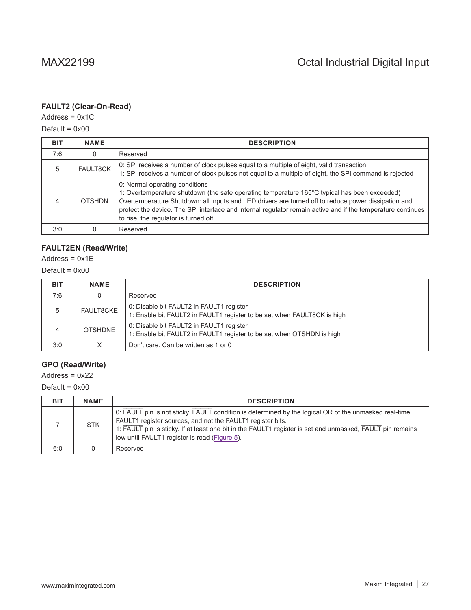# **FAULT2 (Clear-On-Read)**

Address = 0x1C

Default =  $0x00$ 

| <b>BIT</b> | <b>NAME</b>     | <b>DESCRIPTION</b>                                                                                                                                                                                                                                                                                                                                                                            |
|------------|-----------------|-----------------------------------------------------------------------------------------------------------------------------------------------------------------------------------------------------------------------------------------------------------------------------------------------------------------------------------------------------------------------------------------------|
| 7:6        | 0               | Reserved                                                                                                                                                                                                                                                                                                                                                                                      |
| 5          | <b>FAULT8CK</b> | 0: SPI receives a number of clock pulses equal to a multiple of eight, valid transaction<br>1: SPI receives a number of clock pulses not equal to a multiple of eight, the SPI command is rejected                                                                                                                                                                                            |
|            | <b>OTSHDN</b>   | 0: Normal operating conditions<br>1: Overtemperature shutdown (the safe operating temperature 165°C typical has been exceeded)<br>Overtemperature Shutdown: all inputs and LED drivers are turned off to reduce power dissipation and<br>protect the device. The SPI interface and internal regulator remain active and if the temperature continues<br>to rise, the regulator is turned off. |
| 3:0        |                 | Reserved                                                                                                                                                                                                                                                                                                                                                                                      |

# **FAULT2EN (Read/Write)**

Address =  $0x1E$ 

Default =  $0x00$ 

| <b>BIT</b> | <b>NAME</b>      | <b>DESCRIPTION</b>                                                                                                  |
|------------|------------------|---------------------------------------------------------------------------------------------------------------------|
| 7:6        |                  | Reserved                                                                                                            |
|            | <b>FAULT8CKE</b> | 0: Disable bit FAULT2 in FAULT1 register<br>1: Enable bit FAULT2 in FAULT1 register to be set when FAULT8CK is high |
|            | <b>OTSHDNE</b>   | 0: Disable bit FAULT2 in FAULT1 register<br>1: Enable bit FAULT2 in FAULT1 register to be set when OTSHDN is high   |
| 3:0        |                  | Don't care. Can be written as 1 or 0                                                                                |

# **GPO (Read/Write)**

Address =  $0x22$ 

Default =  $0x00$ 

| <b>BIT</b> | <b>NAME</b> | <b>DESCRIPTION</b>                                                                                                                                                                                                                                                                                                                |
|------------|-------------|-----------------------------------------------------------------------------------------------------------------------------------------------------------------------------------------------------------------------------------------------------------------------------------------------------------------------------------|
|            | <b>STK</b>  | 0: FAULT pin is not sticky. FAULT condition is determined by the logical OR of the unmasked real-time<br>FAULT1 register sources, and not the FAULT1 register bits.<br>1: FAULT pin is sticky. If at least one bit in the FAULT1 register is set and unmasked, FAULT pin remains<br>low until FAULT1 register is read (Figure 5). |
| 6:0        |             | Reserved                                                                                                                                                                                                                                                                                                                          |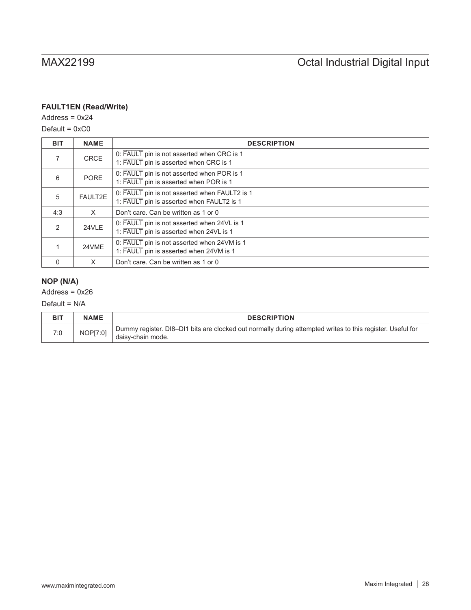# **FAULT1EN (Read/Write)**

 $Address = 0x24$ 

# Default = 0xC0

| <b>BIT</b>    | <b>NAME</b> | <b>DESCRIPTION</b>                                                                         |
|---------------|-------------|--------------------------------------------------------------------------------------------|
|               | <b>CRCE</b> | 0: FAULT pin is not asserted when CRC is 1<br>1: FAULT pin is asserted when CRC is 1       |
| 6             | <b>PORE</b> | 0: FAULT pin is not asserted when POR is 1<br>1: FAULT pin is asserted when POR is 1       |
| 5             | FAULT2E     | 0: FAULT pin is not asserted when FAULT2 is 1<br>1: FAULT pin is asserted when FAULT2 is 1 |
| 4:3           | X           | Don't care. Can be written as 1 or 0                                                       |
| $\mathcal{P}$ | 24VLE       | 0: FAULT pin is not asserted when 24VL is 1<br>1: FAULT pin is asserted when 24VL is 1     |
|               | 24VME       | 0: FAULT pin is not asserted when 24VM is 1<br>1: FAULT pin is asserted when 24VM is 1     |
| $\Omega$      | X           | Don't care. Can be written as 1 or 0                                                       |

# **NOP (N/A)**

Address =  $0x26$ 

### Default = N/A

| <b>BIT</b> | <b>NAME</b> | <b>DESCRIPTION</b>                                                                                                              |
|------------|-------------|---------------------------------------------------------------------------------------------------------------------------------|
| 7:0        | NOP[7:0]    | Dummy register. DI8-DI1 bits are clocked out normally during attempted writes to this register. Useful for<br>daisv-chain mode. |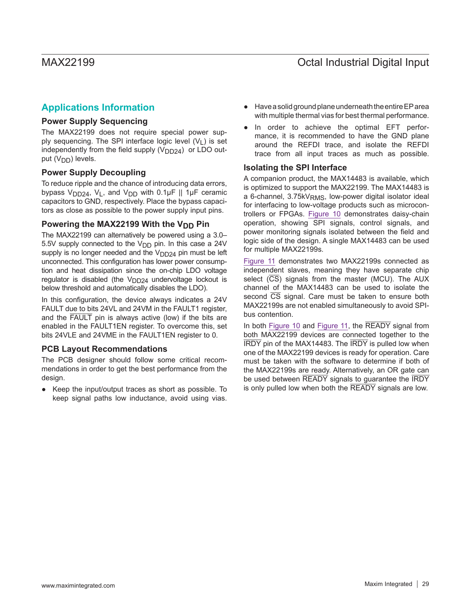# **Applications Information**

### **Power Supply Sequencing**

The MAX22199 does not require special power supply sequencing. The SPI interface logic level  $(V<sub>1</sub>)$  is set independently from the field supply  $(V_{DD24})$  or LDO output  $(V_{DD})$  levels.

# **Power Supply Decoupling**

To reduce ripple and the chance of introducing data errors, bypass  $V_{DD24}$ ,  $V_{L}$ , and  $V_{DD}$  with 0.1µF || 1µF ceramic capacitors to GND, respectively. Place the bypass capacitors as close as possible to the power supply input pins.

# **Powering the MAX22199 With the V<sub>DD</sub> Pin**

The MAX22199 can alternatively be powered using a 3.0– 5.5V supply connected to the  $V_{DD}$  pin. In this case a 24V supply is no longer needed and the  $V_{DD24}$  pin must be left unconnected. This configuration has lower power consumption and heat dissipation since the on-chip LDO voltage regulator is disabled (the  $V_{DD24}$  undervoltage lockout is below threshold and automatically disables the LDO).

In this configuration, the device always indicates a 24V FAULT due to bits 24VL and 24VM in the FAULT1 register, and the FAULT pin is always active (low) if the bits are enabled in the FAULT1EN register. To overcome this, set bits 24VLE and 24VME in the FAULT1EN register to 0.

### **PCB Layout Recommendations**

The PCB designer should follow some critical recommendations in order to get the best performance from the design.

Keep the input/output traces as short as possible. To keep signal paths low inductance, avoid using vias.

- Have a solid ground plane underneath the entire EP area with multiple thermal vias for best thermal performance.
- In order to achieve the optimal EFT performance, it is recommended to have the GND plane around the REFDI trace, and isolate the REFDI trace from all input traces as much as possible.

### **Isolating the SPI Interface**

A companion product, the MAX14483 is available, which is optimized to support the MAX22199. The MAX14483 is a 6-channel, 3.75kV<sub>RMS</sub>, low-power digital isolator ideal for interfacing to low-voltage products such as microcontrollers or FPGAs. [Figure 10](#page-29-0) demonstrates daisy-chain operation, showing SPI signals, control signals, and power monitoring signals isolated between the field and logic side of the design. A single MAX14483 can be used for multiple MAX22199s.

[Figure 11](#page-30-0) demonstrates two MAX22199s connected as independent slaves, meaning they have separate chip select  $(\overline{CS})$  signals from the master (MCU). The AUX channel of the MAX14483 can be used to isolate the second  $\overline{CS}$  signal. Care must be taken to ensure both MAX22199s are not enabled simultaneously to avoid SPIbus contention.

In both [Figure 10](#page-29-0) and [Figure 11,](#page-30-0) the READY signal from both MAX22199 devices are connected together to the IRDY pin of the MAX14483. The IRDY is pulled low when one of the MAX22199 devices is ready for operation. Care must be taken with the software to determine if both of the MAX22199s are ready. Alternatively, an OR gate can be used between READY signals to guarantee the IRDY is only pulled low when both the READY signals are low.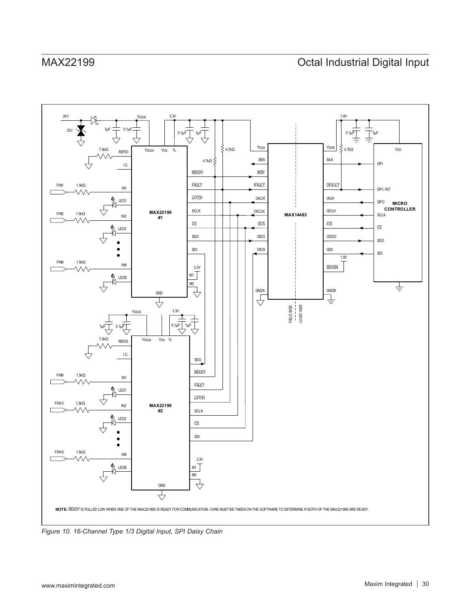<span id="page-29-0"></span>

*Figure 10. 16-Channel Type 1/3 Digital Input, SPI Daisy Chain*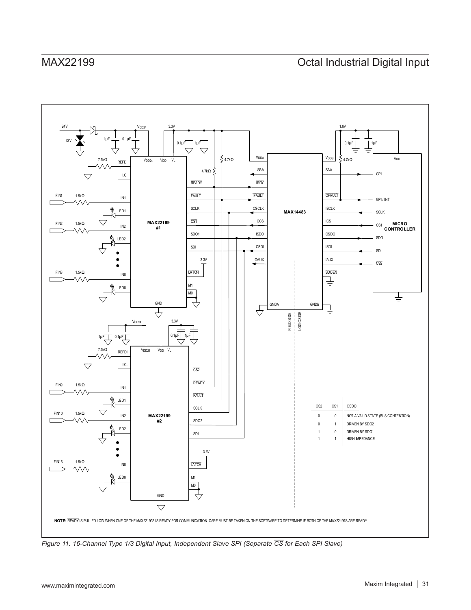<span id="page-30-0"></span>

*Figure 11. 16-Channel Type 1/3 Digital Input, Independent Slave SPI (Separate CS for Each SPI Slave)*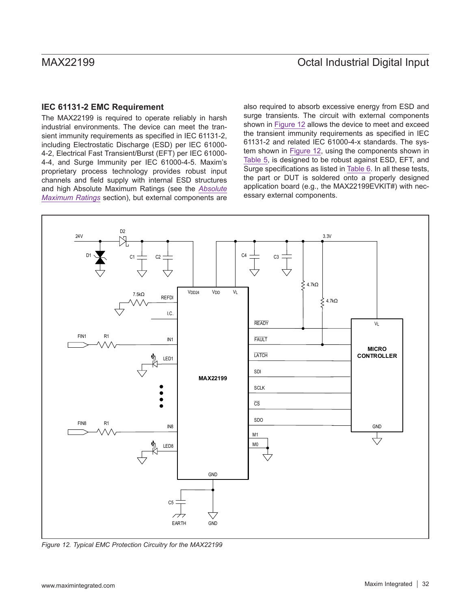# **IEC 61131-2 EMC Requirement**

The MAX22199 is required to operate reliably in harsh industrial environments. The device can meet the transient immunity requirements as specified in IEC 61131-2, including Electrostatic Discharge (ESD) per IEC 61000- 4-2, Electrical Fast Transient/Burst (EFT) per IEC 61000- 4-4, and Surge Immunity per IEC 61000-4-5. Maxim's proprietary process technology provides robust input channels and field supply with internal ESD structures and high Absolute Maximum Ratings (see the *[Absolute](#page-2-1) [Maximum Ratings](#page-2-1)* section), but external components are also required to absorb excessive energy from ESD and surge transients. The circuit with external components shown in [Figure 12](#page-31-0) allows the device to meet and exceed the transient immunity requirements as specified in IEC 61131-2 and related IEC 61000-4-x standards. The system shown in [Figure 12](#page-31-0), using the components shown in [Table 5](#page-32-1), is designed to be robust against ESD, EFT, and Surge specifications as listed in [Table 6.](#page-33-0) In all these tests, the part or DUT is soldered onto a properly designed application board (e.g., the MAX22199EVKIT#) with necessary external components.

<span id="page-31-0"></span>

*Figure 12. Typical EMC Protection Circuitry for the MAX22199*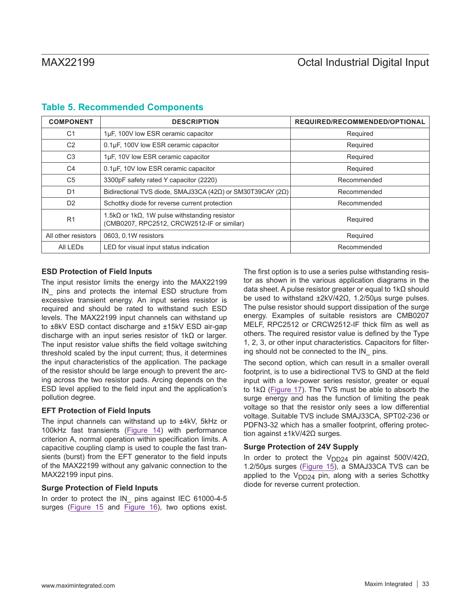| <b>COMPONENT</b>     | <b>DESCRIPTION</b>                                                                                          | REQUIRED/RECOMMENDED/OPTIONAL |
|----------------------|-------------------------------------------------------------------------------------------------------------|-------------------------------|
| C <sub>1</sub>       | 1µF, 100V low ESR ceramic capacitor                                                                         | Required                      |
| C <sub>2</sub>       | 0.1µF, 100V low ESR ceramic capacitor                                                                       | Required                      |
| C <sub>3</sub>       | 1µF, 10V low ESR ceramic capacitor                                                                          | Required                      |
| C4                   | 0.1µF, 10V low ESR ceramic capacitor                                                                        | Required                      |
| C <sub>5</sub>       | 3300pF safety rated Y capacitor (2220)                                                                      | Recommended                   |
| D <sub>1</sub>       | Bidirectional TVS diode, SMAJ33CA (42 $\Omega$ ) or SM30T39CAY (2 $\Omega$ )                                | Recommended                   |
| D <sub>2</sub>       | Schottky diode for reverse current protection                                                               | Recommended                   |
| R1                   | 1.5k $\Omega$ or 1k $\Omega$ , 1W pulse withstanding resistor<br>(CMB0207, RPC2512, CRCW2512-IF or similar) | Required                      |
| All other resistors  | 0603, 0.1W resistors                                                                                        | Required                      |
| All LED <sub>s</sub> | LED for visual input status indication                                                                      | Recommended                   |

# <span id="page-32-1"></span>**Table 5. Recommended Components**

### **ESD Protection of Field Inputs**

The input resistor limits the energy into the MAX22199 IN\_ pins and protects the internal ESD structure from excessive transient energy. An input series resistor is required and should be rated to withstand such ESD levels. The MAX22199 input channels can withstand up to ±8kV ESD contact discharge and ±15kV ESD air-gap discharge with an input series resistor of 1kΩ or larger. The input resistor value shifts the field voltage switching threshold scaled by the input current; thus, it determines the input characteristics of the application. The package of the resistor should be large enough to prevent the arcing across the two resistor pads. Arcing depends on the ESD level applied to the field input and the application's pollution degree.

### **EFT Protection of Field Inputs**

The input channels can withstand up to ±4kV, 5kHz or 100kHz fast transients [\(Figure 14\)](#page-33-1) with performance criterion A, normal operation within specification limits. A capacitive coupling clamp is used to couple the fast transients (burst) from the EFT generator to the field inputs of the MAX22199 without any galvanic connection to the MAX22199 input pins.

### <span id="page-32-0"></span>**Surge Protection of Field Inputs**

In order to protect the IN pins against IEC 61000-4-5 surges [\(Figure 15](#page-34-0) and [Figure 16\)](#page-34-1), two options exist.

The first option is to use a series pulse withstanding resistor as shown in the various application diagrams in the data sheet. A pulse resistor greater or equal to 1kΩ should be used to withstand ±2kV/42Ω, 1.2/50μs surge pulses. The pulse resistor should support dissipation of the surge energy. Examples of suitable resistors are CMB0207 MELF, RPC2512 or CRCW2512-IF thick film as well as others. The required resistor value is defined by the Type 1, 2, 3, or other input characteristics. Capacitors for filtering should not be connected to the IN\_ pins.

The second option, which can result in a smaller overall footprint, is to use a bidirectional TVS to GND at the field input with a low-power series resistor, greater or equal to 1kΩ ([Figure 17](#page-35-1)). The TVS must be able to absorb the surge energy and has the function of limiting the peak voltage so that the resistor only sees a low differential voltage. Suitable TVS include SMAJ33CA, SPT02-236 or PDFN3-32 which has a smaller footprint, offering protection against ±1kV/42Ω surges.

### **Surge Protection of 24V Supply**

In order to protect the V<sub>DD24</sub> pin against 500V/42Ω, 1.2/50µs surges ([Figure 15](#page-34-0)), a SMAJ33CA TVS can be applied to the V<sub>DD24</sub> pin, along with a series Schottky diode for reverse current protection.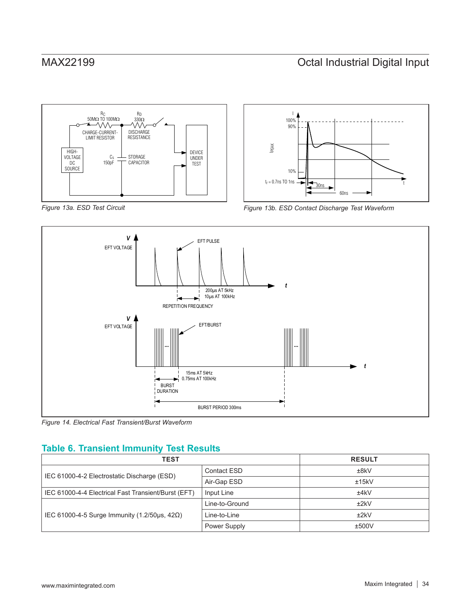# MAX22199 Octal Industrial Digital Input







<span id="page-33-1"></span>

*Figure 14. Electrical Fast Transient/Burst Waveform*

# <span id="page-33-0"></span>**Table 6. Transient Immunity Test Results**

| <b>TEST</b>                                            |                    | <b>RESULT</b> |
|--------------------------------------------------------|--------------------|---------------|
| IEC 61000-4-2 Electrostatic Discharge (ESD)            | <b>Contact ESD</b> | ±8kV          |
|                                                        | Air-Gap ESD        | ±15kV         |
| IEC 61000-4-4 Electrical Fast Transient/Burst (EFT)    | Input Line         | ±4kV          |
| IEC 61000-4-5 Surge Immunity $(1.2/50\mu s, 42\Omega)$ | Line-to-Ground     | ±2kV          |
|                                                        | Line-to-Line       | ±2kV          |
|                                                        | Power Supply       | ±500V         |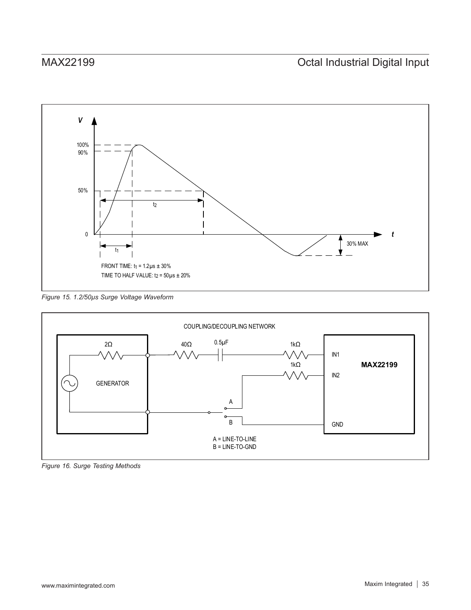<span id="page-34-0"></span>

*Figure 15. 1.2/50µs Surge Voltage Waveform*

<span id="page-34-1"></span>

*Figure 16. Surge Testing Methods*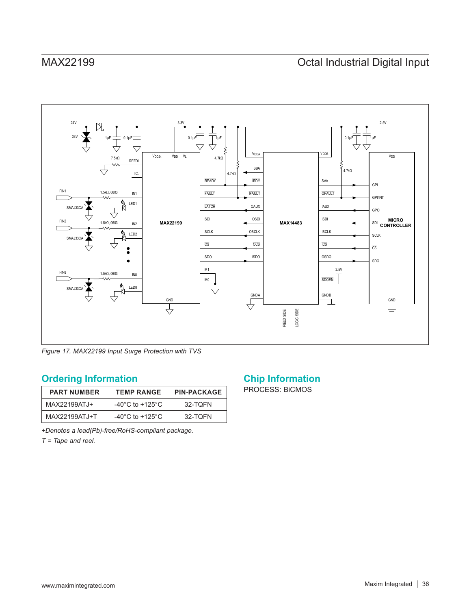<span id="page-35-1"></span>

*Figure 17. MAX22199 Input Surge Protection with TVS*

# <span id="page-35-0"></span>**Ordering Information Chip Information**

| <b>PART NUMBER</b> | <b>TEMP RANGE</b>                     | <b>PIN-PACKAGE</b> |  |
|--------------------|---------------------------------------|--------------------|--|
| MAX22199ATJ+       | -40 $^{\circ}$ C to +125 $^{\circ}$ C | 32-TOFN            |  |
| MAX22199AT.J+T     | -40 $^{\circ}$ C to +125 $^{\circ}$ C | 32-TOFN            |  |

*+Denotes a lead(Pb)-free/RoHS-compliant package.*

*T = Tape and reel.*

PROCESS: BiCMOS